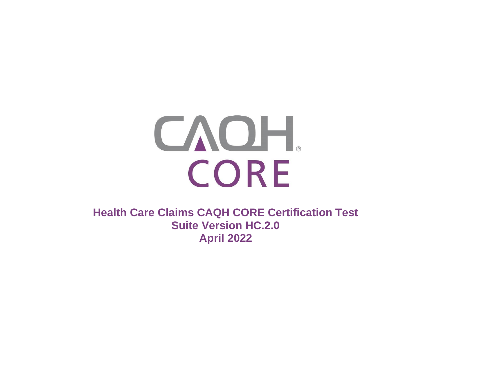

**Health Care Claims CAQH CORE Certification Test Suite Version HC.2.0 April 2022**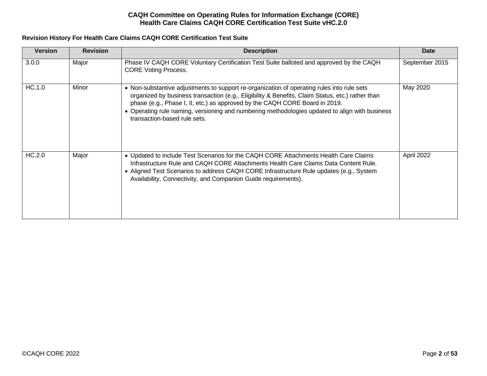# **Revision History For Health Care Claims CAQH CORE Certification Test Suite**

| <b>Version</b> | <b>Revision</b> | <b>Description</b>                                                                                                                                                                                                                                                                                                                                                                                              | Date           |
|----------------|-----------------|-----------------------------------------------------------------------------------------------------------------------------------------------------------------------------------------------------------------------------------------------------------------------------------------------------------------------------------------------------------------------------------------------------------------|----------------|
| 3.0.0          | Major           | Phase IV CAQH CORE Voluntary Certification Test Suite balloted and approved by the CAQH<br><b>CORE Voting Process.</b>                                                                                                                                                                                                                                                                                          | September 2015 |
| HC.1.0         | Minor           | • Non-substantive adjustments to support re-organization of operating rules into rule sets<br>organized by business transaction (e.g., Eligibility & Benefits, Claim Status, etc.) rather than<br>phase (e.g., Phase I, II, etc.) as approved by the CAQH CORE Board in 2019.<br>• Operating rule naming, versioning and numbering methodologies updated to align with business<br>transaction-based rule sets. | May 2020       |
| HC.2.0         | Major           | • Updated to include Test Scenarios for the CAQH CORE Attachments Health Care Claims<br>Infrastructure Rule and CAQH CORE Attachments Health Care Claims Data Content Rule.<br>• Aligned Test Scenarios to address CAQH CORE Infrastructure Rule updates (e.g., System<br>Availability, Connectivity, and Companion Guide requirements).                                                                        | April 2022     |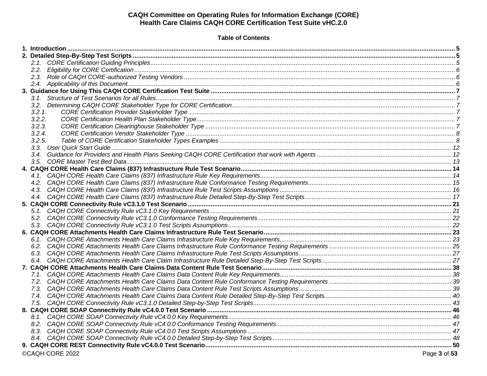# **Table of Contents**

| 3.2.1.<br>3.2.2.<br>3.2.3.<br>3.2.4.<br>3.2.5. |  |  |
|------------------------------------------------|--|--|
|                                                |  |  |
|                                                |  |  |
|                                                |  |  |
|                                                |  |  |
|                                                |  |  |
|                                                |  |  |
|                                                |  |  |
|                                                |  |  |
|                                                |  |  |
|                                                |  |  |
|                                                |  |  |
|                                                |  |  |
|                                                |  |  |
|                                                |  |  |
|                                                |  |  |
|                                                |  |  |
|                                                |  |  |
|                                                |  |  |
|                                                |  |  |
|                                                |  |  |
|                                                |  |  |
|                                                |  |  |
|                                                |  |  |
|                                                |  |  |
|                                                |  |  |
|                                                |  |  |
|                                                |  |  |
|                                                |  |  |
|                                                |  |  |
|                                                |  |  |
|                                                |  |  |
|                                                |  |  |
|                                                |  |  |
|                                                |  |  |
|                                                |  |  |
|                                                |  |  |
|                                                |  |  |
|                                                |  |  |
|                                                |  |  |
|                                                |  |  |
|                                                |  |  |
| ©CAQH CORE 2022<br>Page 3 of 53                |  |  |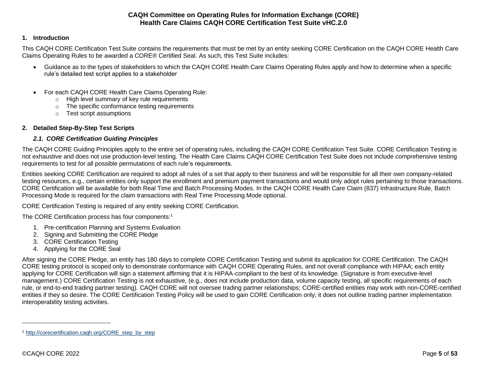### <span id="page-4-0"></span>**1. Introduction**

This CAQH CORE Certification Test Suite contains the requirements that must be met by an entity seeking CORE Certification on the CAQH CORE Health Care Claims Operating Rules to be awarded a CORE® Certified Seal. As such, this Test Suite includes:

- Guidance as to the types of stakeholders to which the CAQH CORE Health Care Claims Operating Rules apply and how to determine when a specific rule's detailed test script applies to a stakeholder
- For each CAQH CORE Health Care Claims Operating Rule:
	- o High level summary of key rule requirements
	- o The specific conformance testing requirements
	- o Test script assumptions

### <span id="page-4-2"></span><span id="page-4-1"></span>**2. Detailed Step-By-Step Test Scripts**

### *2.1. CORE Certification Guiding Principles*

The CAQH CORE Guiding Principles apply to the entire set of operating rules, including the CAQH CORE Certification Test Suite. CORE Certification Testing is not exhaustive and does not use production-level testing. The Health Care Claims CAQH CORE Certification Test Suite does not include comprehensive testing requirements to test for all possible permutations of each rule's requirements.

Entities seeking CORE Certification are required to adopt all rules of a set that apply to their business and will be responsible for all their own company-related testing resources, e.g., certain entities only support the enrollment and premium payment transactions and would only adopt rules pertaining to those transactions. CORE Certification will be available for both Real Time and Batch Processing Modes. In the CAQH CORE Health Care Claim (837) Infrastructure Rule, Batch Processing Mode is required for the claim transactions with Real Time Processing Mode optional.

CORE Certification Testing is required of any entity seeking CORE Certification.

The CORE Certification process has four components:<sup>1</sup>

- 1. Pre-certification Planning and Systems Evaluation
- 2. Signing and Submitting the CORE Pledge
- 3. CORE Certification Testing
- 4. Applying for the CORE Seal

After signing the CORE Pledge, an entity has 180 days to complete CORE Certification Testing and submit its application for CORE Certification. The CAQH CORE testing protocol is scoped only to demonstrate conformance with CAQH CORE Operating Rules, and not overall compliance with HIPAA; each entity applying for CORE Certification will sign a statement affirming that it is HIPAA-compliant to the best of its knowledge. (Signature is from executive-level management.) CORE Certification Testing is not exhaustive, (e.g., does not include production data, volume capacity testing, all specific requirements of each rule, or end-to-end trading partner testing). CAQH CORE will not oversee trading partner relationships; CORE-certified entities may work with non-CORE-certified entities if they so desire. The CORE Certification Testing Policy will be used to gain CORE Certification only; it does not outline trading partner implementation interoperability testing activities.

<sup>1</sup> [http://corecertification.caqh.org/CORE\\_step\\_by\\_step](http://corecertification.caqh.org/CORE_step_by_step)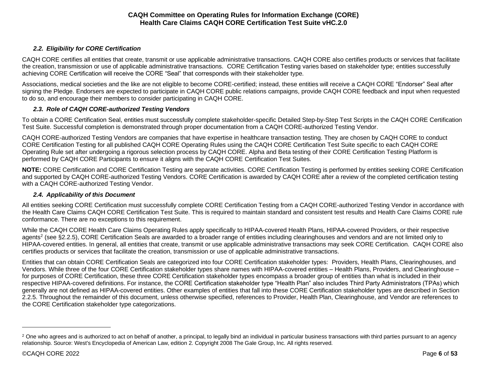# *2.2. Eligibility for CORE Certification*

<span id="page-5-0"></span>CAQH CORE certifies all entities that create, transmit or use applicable administrative transactions. CAQH CORE also certifies products or services that facilitate the creation, transmission or use of applicable administrative transactions. CORE Certification Testing varies based on stakeholder type; entities successfully achieving CORE Certification will receive the CORE "Seal" that corresponds with their stakeholder type.

Associations, medical societies and the like are not eligible to become CORE-certified; instead, these entities will receive a CAQH CORE "Endorser" Seal after signing the Pledge. Endorsers are expected to participate in CAQH CORE public relations campaigns, provide CAQH CORE feedback and input when requested to do so, and encourage their members to consider participating in CAQH CORE.

## *2.3. Role of CAQH CORE-authorized Testing Vendors*

<span id="page-5-1"></span>To obtain a CORE Certification Seal, entities must successfully complete stakeholder-specific Detailed Step-by-Step Test Scripts in the CAQH CORE Certification Test Suite. Successful completion is demonstrated through proper documentation from a CAQH CORE-authorized Testing Vendor.

CAQH CORE-authorized Testing Vendors are companies that have expertise in healthcare transaction testing. They are chosen by CAQH CORE to conduct CORE Certification Testing for all published CAQH CORE Operating Rules using the CAQH CORE Certification Test Suite specific to each CAQH CORE Operating Rule set after undergoing a rigorous selection process by CAQH CORE. Alpha and Beta testing of their CORE Certification Testing Platform is performed by CAQH CORE Participants to ensure it aligns with the CAQH CORE Certification Test Suites.

**NOTE:** CORE Certification and CORE Certification Testing are separate activities. CORE Certification Testing is performed by entities seeking CORE Certification and supported by CAQH CORE-authorized Testing Vendors. CORE Certification is awarded by CAQH CORE after a review of the completed certification testing with a CAQH CORE-authorized Testing Vendor.

## *2.4. Applicability of this Document*

<span id="page-5-2"></span>All entities seeking CORE Certification must successfully complete CORE Certification Testing from a CAQH CORE-authorized Testing Vendor in accordance with the Health Care Claims CAQH CORE Certification Test Suite. This is required to maintain standard and consistent test results and Health Care Claims CORE rule conformance. There are no exceptions to this requirement.

While the CAQH CORE Health Care Claims Operating Rules apply specifically to HIPAA-covered Health Plans, HIPAA-covered Providers, or their respective agents<sup>2</sup> (see §2.2.5), CORE Certification Seals are awarded to a broader range of entities including clearinghouses and vendors and are not limited only to HIPAA-covered entities. In general, all entities that create, transmit or use applicable administrative transactions may seek CORE Certification. CAQH CORE also certifies products or services that facilitate the creation, transmission or use of applicable administrative transactions.

Entities that can obtain CORE Certification Seals are categorized into four CORE Certification stakeholder types: Providers, Health Plans, Clearinghouses, and Vendors. While three of the four CORE Certification stakeholder types share names with HIPAA-covered entities – Health Plans, Providers, and Clearinghouse – for purposes of CORE Certification, these three CORE Certification stakeholder types encompass a broader group of entities than what is included in their respective HIPAA-covered definitions. For instance, the CORE Certification stakeholder type "Health Plan" also includes Third Party Administrators (TPAs) which generally are not defined as HIPAA-covered entities. Other examples of entities that fall into these CORE Certification stakeholder types are described in Section 2.2.5. Throughout the remainder of this document, unless otherwise specified, references to Provider, Health Plan, Clearinghouse, and Vendor are references to the CORE Certification stakeholder type categorizations.

<sup>&</sup>lt;sup>2</sup> One who agrees and is authorized to act on behalf of another, a principal, to legally bind an individual in particular business transactions with third parties pursuant to an agency relationship. Source: West's Encyclopedia of American Law, edition 2. Copyright 2008 The Gale Group, Inc. All rights reserved.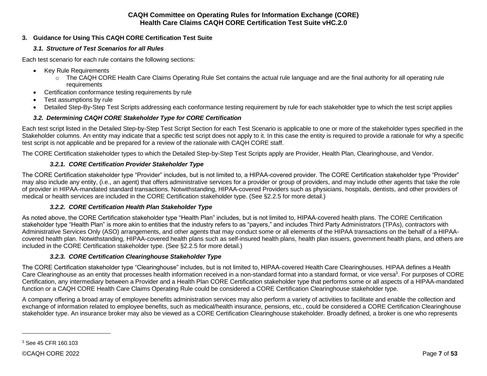# <span id="page-6-1"></span><span id="page-6-0"></span>**3. Guidance for Using This CAQH CORE Certification Test Suite**

## *3.1. Structure of Test Scenarios for all Rules*

Each test scenario for each rule contains the following sections:

- Key Rule Requirements
	- o The CAQH CORE Health Care Claims Operating Rule Set contains the actual rule language and are the final authority for all operating rule requirements
- Certification conformance testing requirements by rule
- Test assumptions by rule
- Detailed Step-By-Step Test Scripts addressing each conformance testing requirement by rule for each stakeholder type to which the test script applies

# *3.2. Determining CAQH CORE Stakeholder Type for CORE Certification*

<span id="page-6-2"></span>Each test script listed in the Detailed Step-by-Step Test Script Section for each Test Scenario is applicable to one or more of the stakeholder types specified in the Stakeholder columns. An entity may indicate that a specific test script does not apply to it. In this case the entity is required to provide a rationale for why a specific test script is not applicable and be prepared for a review of the rationale with CAQH CORE staff.

The CORE Certification stakeholder types to which the Detailed Step-by-Step Test Scripts apply are Provider, Health Plan, Clearinghouse, and Vendor.

# <span id="page-6-3"></span>*3.2.1. CORE Certification Provider Stakeholder Type*

The CORE Certification stakeholder type "Provider" includes, but is not limited to, a HIPAA-covered provider. The CORE Certification stakeholder type "Provider" may also include any entity, (i.e., an agent) that offers administrative services for a provider or group of providers, and may include other agents that take the role of provider in HIPAA-mandated standard transactions. Notwithstanding, HIPAA-covered Providers such as physicians, hospitals, dentists, and other providers of medical or health services are included in the CORE Certification stakeholder type. (See §2.2.5 for more detail.)

## <span id="page-6-4"></span>*3.2.2. CORE Certification Health Plan Stakeholder Type*

As noted above, the CORE Certification stakeholder type "Health Plan" includes, but is not limited to, HIPAA-covered health plans. The CORE Certification stakeholder type "Health Plan" is more akin to entities that the industry refers to as "payers," and includes Third Party Administrators (TPAs), contractors with Administrative Services Only (ASO) arrangements, and other agents that may conduct some or all elements of the HIPAA transactions on the behalf of a HIPAAcovered health plan. Notwithstanding, HIPAA-covered health plans such as self-insured health plans, health plan issuers, government health plans, and others are included in the CORE Certification stakeholder type. (See §2.2.5 for more detail.)

# <span id="page-6-5"></span>*3.2.3. CORE Certification Clearinghouse Stakeholder Type*

The CORE Certification stakeholder type "Clearinghouse" includes, but is not limited to, HIPAA-covered Health Care Clearinghouses. HIPAA defines a Health Care Clearinghouse as an entity that processes health information received in a non-standard format into a standard format, or vice versa<sup>3</sup>. For purposes of CORE Certification, any intermediary between a Provider and a Health Plan CORE Certification stakeholder type that performs some or all aspects of a HIPAA-mandated function or a CAQH CORE Health Care Claims Operating Rule could be considered a CORE Certification Clearinghouse stakeholder type.

A company offering a broad array of employee benefits administration services may also perform a variety of activities to facilitate and enable the collection and exchange of information related to employee benefits, such as medical/health insurance, pensions, etc., could be considered a CORE Certification Clearinghouse stakeholder type. An insurance broker may also be viewed as a CORE Certification Clearinghouse stakeholder. Broadly defined, a broker is one who represents

<sup>3</sup> See 45 CFR 160.103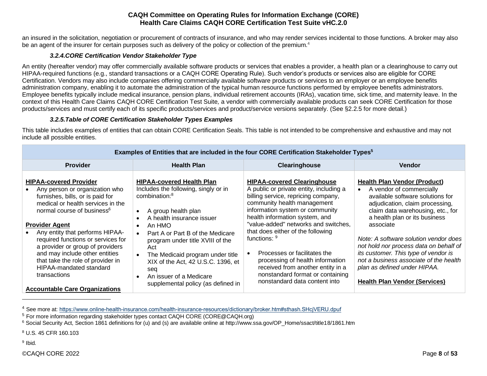an insured in the solicitation, negotiation or procurement of contracts of insurance, and who may render services incidental to those functions. A broker may also be an agent of the insurer for certain purposes such as delivery of the policy or collection of the premium.<sup>4</sup>

# *3.2.4.CORE Certification Vendor Stakeholder Type*

<span id="page-7-0"></span>An entity (hereafter vendor) may offer commercially available software products or services that enables a provider, a health plan or a clearinghouse to carry out HIPAA-required functions (e.g., standard transactions or a CAQH CORE Operating Rule). Such vendor's products or services also are eligible for CORE Certification. Vendors may also include companies offering commercially available software products or services to an employer or an employee benefits administration company, enabling it to automate the administration of the typical human resource functions performed by employee benefits administrators. Employee benefits typically include medical insurance, pension plans, individual retirement accounts (IRAs), vacation time, sick time, and maternity leave. In the context of this Health Care Claims CAQH CORE Certification Test Suite*,* a vendor with commercially available products can seek CORE Certification for those products/services and must certify each of its specific products/services and product/service versions separately. (See §2.2.5 for more detail.)

# *3.2.5.Table of CORE Certification Stakeholder Types Examples*

<span id="page-7-1"></span>This table includes examples of entities that can obtain CORE Certification Seals. This table is not intended to be comprehensive and exhaustive and may not include all possible entities.

**Examples of Entities that are included in the four CORE Certification Stakeholder Types<sup>5</sup>**

|                                                                                                                                                                                                                                                                                                                          |                                                                                                                                                                                                                                                                                           | Examples of Entities that are included in the four CORE Certification Stakeholder Types <sup>9</sup>                                                                                                                                                                                                                                                  |                                                                                                                                                                                                                                                                                                                                                      |
|--------------------------------------------------------------------------------------------------------------------------------------------------------------------------------------------------------------------------------------------------------------------------------------------------------------------------|-------------------------------------------------------------------------------------------------------------------------------------------------------------------------------------------------------------------------------------------------------------------------------------------|-------------------------------------------------------------------------------------------------------------------------------------------------------------------------------------------------------------------------------------------------------------------------------------------------------------------------------------------------------|------------------------------------------------------------------------------------------------------------------------------------------------------------------------------------------------------------------------------------------------------------------------------------------------------------------------------------------------------|
| <b>Provider</b>                                                                                                                                                                                                                                                                                                          | <b>Health Plan</b>                                                                                                                                                                                                                                                                        | Clearinghouse                                                                                                                                                                                                                                                                                                                                         | <b>Vendor</b>                                                                                                                                                                                                                                                                                                                                        |
| <b>HIPAA-covered Provider</b><br>Any person or organization who<br>furnishes, bills, or is paid for<br>medical or health services in the<br>normal course of business <sup>6</sup><br><b>Provider Agent</b><br>Any entity that performs HIPAA-<br>required functions or services for<br>a provider or group of providers | <b>HIPAA-covered Health Plan</b><br>Includes the following, singly or in<br>combination: <sup>8</sup><br>A group health plan<br>$\bullet$<br>A health insurance issuer<br>$\bullet$<br>An HMO<br>$\bullet$<br>Part A or Part B of the Medicare<br>program under title XVIII of the<br>Act | <b>HIPAA-covered Clearinghouse</b><br>A public or private entity, including a<br>billing service, repricing company,<br>community health management<br>information system or community<br>health information system, and<br>"value-added" networks and switches,<br>that does either of the following<br>functions: 9<br>Processes or facilitates the | <b>Health Plan Vendor (Product)</b><br>A vendor of commercially<br>available software solutions for<br>adjudication, claim processing,<br>claim data warehousing, etc., for<br>a health plan or its business<br>associate<br>Note: A software solution vendor does<br>not hold nor process data on behalf of<br>its customer. This type of vendor is |
| and may include other entities<br>that take the role of provider in<br>HIPAA-mandated standard<br>transactions<br><b>Accountable Care Organizations</b>                                                                                                                                                                  | The Medicaid program under title<br>XIX of the Act, 42 U.S.C. 1396, et<br>seq<br>An issuer of a Medicare<br>$\bullet$<br>supplemental policy (as defined in                                                                                                                               | processing of health information<br>received from another entity in a<br>nonstandard format or containing<br>nonstandard data content into                                                                                                                                                                                                            | not a business associate of the health<br>plan as defined under HIPAA.<br><b>Health Plan Vendor (Services)</b>                                                                                                                                                                                                                                       |

<sup>4</sup> See more at:<https://www.online-health-insurance.com/health-insurance-resources/dictionary/broker.htm#sthash.SHcjVERU.dpuf>

<sup>8</sup> U.S. 45 CFR 160.103

<sup>9</sup> Ibid.

<sup>5</sup> For more information regarding stakeholder types contact CAQH CORE (CORE@CAQH.org)

<sup>6</sup> Social Security Act, Section 1861 definitions for (u) and (s) are available online at http://www.ssa.gov/OP\_Home/ssact/title18/1861.htm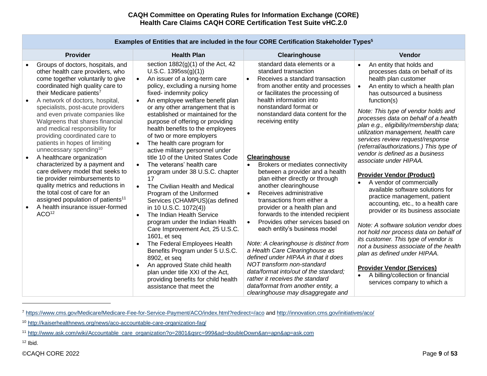| <b>Provider</b>                                                                                                                                                                                                                                                                                                                                                                                                                                                                                                                                                                                                                                                                                                                                                                                                                | <b>Health Plan</b>                                                                                                                                                                                                                                                                                                                                                                                                                                                                                                                                                                                                                                                                                                                                                                                                                                                                                                                                                                                                                                                                                 | Clearinghouse                                                                                                                                                                                                                                                                                                                                                                                                                                                                                                                                                                                                                                                                                                                                                                                                                                                                                                                                                                                    | Vendor                                                                                                                                                                                                                                                                                                                                                                                                                                                                                                                                                                                                                                                                                                                                                                                                                                                                                                                                                                                                                                                |
|--------------------------------------------------------------------------------------------------------------------------------------------------------------------------------------------------------------------------------------------------------------------------------------------------------------------------------------------------------------------------------------------------------------------------------------------------------------------------------------------------------------------------------------------------------------------------------------------------------------------------------------------------------------------------------------------------------------------------------------------------------------------------------------------------------------------------------|----------------------------------------------------------------------------------------------------------------------------------------------------------------------------------------------------------------------------------------------------------------------------------------------------------------------------------------------------------------------------------------------------------------------------------------------------------------------------------------------------------------------------------------------------------------------------------------------------------------------------------------------------------------------------------------------------------------------------------------------------------------------------------------------------------------------------------------------------------------------------------------------------------------------------------------------------------------------------------------------------------------------------------------------------------------------------------------------------|--------------------------------------------------------------------------------------------------------------------------------------------------------------------------------------------------------------------------------------------------------------------------------------------------------------------------------------------------------------------------------------------------------------------------------------------------------------------------------------------------------------------------------------------------------------------------------------------------------------------------------------------------------------------------------------------------------------------------------------------------------------------------------------------------------------------------------------------------------------------------------------------------------------------------------------------------------------------------------------------------|-------------------------------------------------------------------------------------------------------------------------------------------------------------------------------------------------------------------------------------------------------------------------------------------------------------------------------------------------------------------------------------------------------------------------------------------------------------------------------------------------------------------------------------------------------------------------------------------------------------------------------------------------------------------------------------------------------------------------------------------------------------------------------------------------------------------------------------------------------------------------------------------------------------------------------------------------------------------------------------------------------------------------------------------------------|
| Groups of doctors, hospitals, and<br>other health care providers, who<br>come together voluntarily to give<br>coordinated high quality care to<br>their Medicare patients <sup>7</sup><br>A network of doctors, hospital,<br>$\bullet$<br>specialists, post-acute providers<br>and even private companies like<br>Walgreens that shares financial<br>and medical responsibility for<br>providing coordinated care to<br>patients in hopes of limiting<br>unnecessary spending <sup>10</sup><br>A healthcare organization<br>$\bullet$<br>characterized by a payment and<br>care delivery model that seeks to<br>tie provider reimbursements to<br>quality metrics and reductions in<br>the total cost of care for an<br>assigned population of patients <sup>11</sup><br>A health insurance issuer-formed<br>ACO <sup>12</sup> | section 1882(g)(1) of the Act, 42<br>U.S.C. 1395ss(g)(1))<br>An issuer of a long-term care<br>policy, excluding a nursing home<br>fixed- indemnity policy<br>An employee welfare benefit plan<br>$\bullet$<br>or any other arrangement that is<br>established or maintained for the<br>purpose of offering or providing<br>health benefits to the employees<br>of two or more employers<br>The health care program for<br>active military personnel under<br>title 10 of the United States Code<br>The veterans' health care<br>$\bullet$<br>program under 38 U.S.C. chapter<br>17<br>The Civilian Health and Medical<br>$\bullet$<br>Program of the Uniformed<br>Services (CHAMPUS) (as defined<br>in 10 U.S.C. 1072(4))<br>The Indian Health Service<br>$\bullet$<br>program under the Indian Health<br>Care Improvement Act, 25 U.S.C.<br>1601, et seq<br>The Federal Employees Health<br>Benefits Program under 5 U.S.C.<br>8902, et seq<br>An approved State child health<br>$\bullet$<br>plan under title XXI of the Act,<br>providing benefits for child health<br>assistance that meet the | standard data elements or a<br>standard transaction<br>Receives a standard transaction<br>$\bullet$<br>from another entity and processes<br>or facilitates the processing of<br>health information into<br>nonstandard format or<br>nonstandard data content for the<br>receiving entity<br>Clearinghouse<br>Brokers or mediates connectivity<br>$\bullet$<br>between a provider and a health<br>plan either directly or through<br>another clearinghouse<br>Receives administrative<br>$\bullet$<br>transactions from either a<br>provider or a health plan and<br>forwards to the intended recipient<br>Provides other services based on<br>$\bullet$<br>each entity's business model<br>Note: A clearinghouse is distinct from<br>a Health Care Clearinghouse as<br>defined under HIPAA in that it does<br>NOT transform non-standard<br>data/format into/out of the standard;<br>rather it receives the standard<br>data/format from another entity, a<br>clearinghouse may disaggregate and | An entity that holds and<br>$\bullet$<br>processes data on behalf of its<br>health plan customer<br>An entity to which a health plan<br>$\bullet$<br>has outsourced a business<br>function(s)<br>Note: This type of vendor holds and<br>processes data on behalf of a health<br>plan e.g., eligibility/membership data;<br>utilization management, health care<br>services review request/response<br>(referral/authorizations.) This type of<br>vendor is defined as a business<br>associate under HIPAA.<br><b>Provider Vendor (Product)</b><br>A vendor of commercially<br>available software solutions for<br>practice management, patient<br>accounting, etc., to a health care<br>provider or its business associate<br>Note: A software solution vendor does<br>not hold nor process data on behalf of<br>its customer. This type of vendor is<br>not a business associate of the health<br>plan as defined under HIPAA.<br><b>Provider Vendor (Services)</b><br>A billing/collection or financial<br>$\bullet$<br>services company to which a |

## **Examples of Entities that are included in the four CORE Certification Stakeholder Types<sup>5</sup>**

 $12$  Ibid.

<sup>7</sup> <https://www.cms.gov/Medicare/Medicare-Fee-for-Service-Payment/ACO/index.html?redirect=/aco> an[d http://innovation.cms.gov/initiatives/aco/](http://innovation.cms.gov/initiatives/aco/)

<sup>10</sup> <http://kaiserhealthnews.org/news/aco-accountable-care-organization-faq/>

<sup>11</sup> [http://www.ask.com/wiki/Accountable\\_care\\_organization?o=2801&qsrc=999&ad=doubleDown&an=apn&ap=ask.com](http://www.ask.com/wiki/Accountable_care_organization?o=2801&qsrc=999&ad=doubleDown&an=apn&ap=ask.com)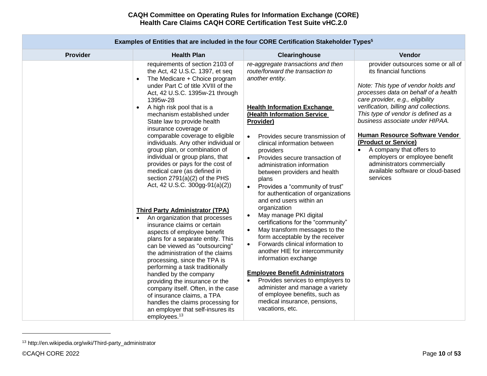| Examples of Entities that are included in the four CORE Certification Stakeholder Types <sup>5</sup> |                                                                                                                                                                                                                                                                                                                                                                                                                                                                                                                                                                                                                                                                                                                                                                                                                                                                                                                                                                                                                                                                                                                                                                                                         |                                                                                                                                                                                                                                                                                                                                                                                                                                                                                                                                                                                                                                                                                                                                                                                                                                                                                                                                                                                                                 |                                                                                                                                                                                                                                                                                                                                                                                                                                                                                                                                 |  |  |  |  |
|------------------------------------------------------------------------------------------------------|---------------------------------------------------------------------------------------------------------------------------------------------------------------------------------------------------------------------------------------------------------------------------------------------------------------------------------------------------------------------------------------------------------------------------------------------------------------------------------------------------------------------------------------------------------------------------------------------------------------------------------------------------------------------------------------------------------------------------------------------------------------------------------------------------------------------------------------------------------------------------------------------------------------------------------------------------------------------------------------------------------------------------------------------------------------------------------------------------------------------------------------------------------------------------------------------------------|-----------------------------------------------------------------------------------------------------------------------------------------------------------------------------------------------------------------------------------------------------------------------------------------------------------------------------------------------------------------------------------------------------------------------------------------------------------------------------------------------------------------------------------------------------------------------------------------------------------------------------------------------------------------------------------------------------------------------------------------------------------------------------------------------------------------------------------------------------------------------------------------------------------------------------------------------------------------------------------------------------------------|---------------------------------------------------------------------------------------------------------------------------------------------------------------------------------------------------------------------------------------------------------------------------------------------------------------------------------------------------------------------------------------------------------------------------------------------------------------------------------------------------------------------------------|--|--|--|--|
| <b>Provider</b>                                                                                      | <b>Health Plan</b>                                                                                                                                                                                                                                                                                                                                                                                                                                                                                                                                                                                                                                                                                                                                                                                                                                                                                                                                                                                                                                                                                                                                                                                      | Clearinghouse                                                                                                                                                                                                                                                                                                                                                                                                                                                                                                                                                                                                                                                                                                                                                                                                                                                                                                                                                                                                   | Vendor                                                                                                                                                                                                                                                                                                                                                                                                                                                                                                                          |  |  |  |  |
|                                                                                                      | requirements of section 2103 of<br>the Act, 42 U.S.C. 1397, et seq<br>The Medicare + Choice program<br>$\bullet$<br>under Part C of title XVIII of the<br>Act, 42 U.S.C. 1395w-21 through<br>1395w-28<br>A high risk pool that is a<br>$\bullet$<br>mechanism established under<br>State law to provide health<br>insurance coverage or<br>comparable coverage to eligible<br>individuals. Any other individual or<br>group plan, or combination of<br>individual or group plans, that<br>provides or pays for the cost of<br>medical care (as defined in<br>section 2791(a)(2) of the PHS<br>Act, 42 U.S.C. 300gg-91(a)(2))<br><b>Third Party Administrator (TPA)</b><br>An organization that processes<br>$\bullet$<br>insurance claims or certain<br>aspects of employee benefit<br>plans for a separate entity. This<br>can be viewed as "outsourcing"<br>the administration of the claims<br>processing, since the TPA is<br>performing a task traditionally<br>handled by the company<br>providing the insurance or the<br>company itself. Often, in the case<br>of insurance claims, a TPA<br>handles the claims processing for<br>an employer that self-insures its<br>employees. <sup>13</sup> | re-aggregate transactions and then<br>route/forward the transaction to<br>another entity.<br><b>Health Information Exchange</b><br>(Health Information Service<br>Provider)<br>Provides secure transmission of<br>$\bullet$<br>clinical information between<br>providers<br>Provides secure transaction of<br>$\bullet$<br>administration information<br>between providers and health<br>plans<br>Provides a "community of trust"<br>$\bullet$<br>for authentication of organizations<br>and end users within an<br>organization<br>May manage PKI digital<br>certifications for the "community"<br>May transform messages to the<br>$\bullet$<br>form acceptable by the receiver<br>Forwards clinical information to<br>$\bullet$<br>another HIE for intercommunity<br>information exchange<br><b>Employee Benefit Administrators</b><br>Provides services to employers to<br>$\bullet$<br>administer and manage a variety<br>of employee benefits, such as<br>medical insurance, pensions,<br>vacations, etc. | provider outsources some or all of<br>its financial functions<br>Note: This type of vendor holds and<br>processes data on behalf of a health<br>care provider, e.g., eligibility<br>verification, billing and collections.<br>This type of vendor is defined as a<br>business associate under HIPAA.<br><b>Human Resource Software Vendor</b><br>(Product or Service)<br>A company that offers to<br>$\bullet$<br>employers or employee benefit<br>administrators commercially<br>available software or cloud-based<br>services |  |  |  |  |

<sup>13</sup> http://en.wikipedia.org/wiki/Third-party\_administrator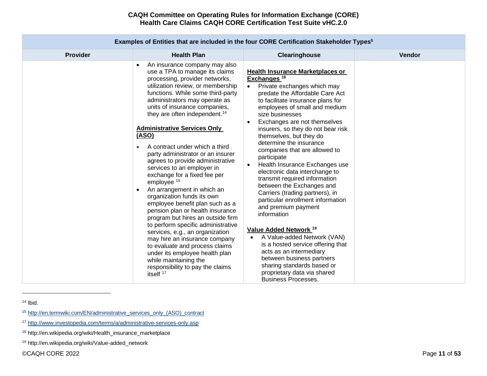|                 |                                                                                                                                                                                                                                                                                                                                                                                                                                                                                                                                                                                                                                                                                                                                                                                                                                                                                                                                                                                                                                 | Examples of Entities that are included in the four CORE Certification Stakeholder Types <sup>5</sup>                                                                                                                                                                                                                                                                                                                                                                                                                                                                                                                                                                                                                                                                                                                                                                                                                                                         |               |
|-----------------|---------------------------------------------------------------------------------------------------------------------------------------------------------------------------------------------------------------------------------------------------------------------------------------------------------------------------------------------------------------------------------------------------------------------------------------------------------------------------------------------------------------------------------------------------------------------------------------------------------------------------------------------------------------------------------------------------------------------------------------------------------------------------------------------------------------------------------------------------------------------------------------------------------------------------------------------------------------------------------------------------------------------------------|--------------------------------------------------------------------------------------------------------------------------------------------------------------------------------------------------------------------------------------------------------------------------------------------------------------------------------------------------------------------------------------------------------------------------------------------------------------------------------------------------------------------------------------------------------------------------------------------------------------------------------------------------------------------------------------------------------------------------------------------------------------------------------------------------------------------------------------------------------------------------------------------------------------------------------------------------------------|---------------|
| <b>Provider</b> | <b>Health Plan</b>                                                                                                                                                                                                                                                                                                                                                                                                                                                                                                                                                                                                                                                                                                                                                                                                                                                                                                                                                                                                              | Clearinghouse                                                                                                                                                                                                                                                                                                                                                                                                                                                                                                                                                                                                                                                                                                                                                                                                                                                                                                                                                | <b>Vendor</b> |
|                 | An insurance company may also<br>$\bullet$<br>use a TPA to manage its claims<br>processing, provider networks,<br>utilization review, or membership<br>functions. While some third-party<br>administrators may operate as<br>units of insurance companies,<br>they are often independent. <sup>14</sup><br><b>Administrative Services Only</b><br>(ASO)<br>A contract under which a third<br>$\bullet$<br>party administrator or an insurer<br>agrees to provide administrative<br>services to an employer in<br>exchange for a fixed fee per<br>employee <sup>15</sup><br>An arrangement in which an<br>$\bullet$<br>organization funds its own<br>employee benefit plan such as a<br>pension plan or health insurance<br>program but hires an outside firm<br>to perform specific administrative<br>services, e.g., an organization<br>may hire an insurance company<br>to evaluate and process claims<br>under its employee health plan<br>while maintaining the<br>responsibility to pay the claims<br>itself <sup>17</sup> | <b>Health Insurance Marketplaces or</b><br>Exchanges <sup>16</sup><br>Private exchanges which may<br>$\bullet$<br>predate the Affordable Care Act<br>to facilitate insurance plans for<br>employees of small and medium<br>size businesses<br>Exchanges are not themselves<br>$\bullet$<br>insurers, so they do not bear risk<br>themselves, but they do<br>determine the insurance<br>companies that are allowed to<br>participate<br>Health Insurance Exchanges use<br>$\bullet$<br>electronic data interchange to<br>transmit required information<br>between the Exchanges and<br>Carriers (trading partners), in<br>particular enrollment information<br>and premium payment<br>information<br>Value Added Network <sup>19</sup><br>A Value-added Network (VAN)<br>is a hosted service offering that<br>acts as an intermediary<br>between business partners<br>sharing standards based or<br>proprietary data via shared<br><b>Business Processes.</b> |               |

 $14$  Ibid.

<sup>15</sup> [http://en.termwiki.com/EN/administrative\\_services\\_only\\_\(ASO\)\\_contract](http://en.termwiki.com/EN/administrative_services_only_(ASO)_contract)

<sup>17</sup> <http://www.investopedia.com/terms/a/administrative-services-only.asp>

<sup>16</sup> http://en.wikipedia.org/wiki/Health\_insurance\_marketplace

<sup>19</sup> http://en.wikipedia.org/wiki/Value-added\_network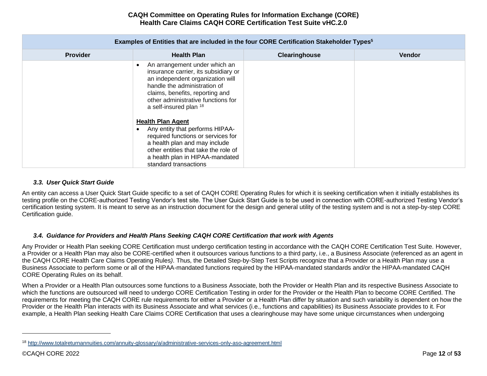| Examples of Entities that are included in the four CORE Certification Stakeholder Types <sup>5</sup> |                                                                                                                                                                                                                                                                                                                                                                                                                                                                                        |               |               |  |  |  |  |  |  |
|------------------------------------------------------------------------------------------------------|----------------------------------------------------------------------------------------------------------------------------------------------------------------------------------------------------------------------------------------------------------------------------------------------------------------------------------------------------------------------------------------------------------------------------------------------------------------------------------------|---------------|---------------|--|--|--|--|--|--|
| <b>Provider</b>                                                                                      | <b>Health Plan</b>                                                                                                                                                                                                                                                                                                                                                                                                                                                                     | Clearinghouse | <b>Vendor</b> |  |  |  |  |  |  |
|                                                                                                      | An arrangement under which an<br>insurance carrier, its subsidiary or<br>an independent organization will<br>handle the administration of<br>claims, benefits, reporting and<br>other administrative functions for<br>a self-insured plan 18<br><b>Health Plan Agent</b><br>Any entity that performs HIPAA-<br>required functions or services for<br>a health plan and may include<br>other entities that take the role of<br>a health plan in HIPAA-mandated<br>standard transactions |               |               |  |  |  |  |  |  |

## *3.3. User Quick Start Guide*

<span id="page-11-0"></span>An entity can access a User Quick Start Guide specific to a set of CAQH CORE Operating Rules for which it is seeking certification when it initially establishes its testing profile on the CORE-authorized Testing Vendor's test site. The User Quick Start Guide is to be used in connection with CORE-authorized Testing Vendor's certification testing system. It is meant to serve as an instruction document for the design and general utility of the testing system and is not a step-by-step CORE Certification guide.

## *3.4. Guidance for Providers and Health Plans Seeking CAQH CORE Certification that work with Agents*

<span id="page-11-1"></span>Any Provider or Health Plan seeking CORE Certification must undergo certification testing in accordance with the CAQH CORE Certification Test Suite. However, a Provider or a Health Plan may also be CORE-certified when it outsources various functions to a third party, i.e., a Business Associate (referenced as an agent in the CAQH CORE Health Care Claims Operating Rules*)*. Thus, the Detailed Step-by-Step Test Scripts recognize that a Provider or a Health Plan may use a Business Associate to perform some or all of the HIPAA-mandated functions required by the HIPAA-mandated standards and/or the HIPAA-mandated CAQH CORE Operating Rules on its behalf.

When a Provider or a Health Plan outsources some functions to a Business Associate, both the Provider or Health Plan and its respective Business Associate to which the functions are outsourced will need to undergo CORE Certification Testing in order for the Provider or the Health Plan to become CORE Certified. The requirements for meeting the CAQH CORE rule requirements for either a Provider or a Health Plan differ by situation and such variability is dependent on how the Provider or the Health Plan interacts with its Business Associate and what services (i.e., functions and capabilities) its Business Associate provides to it. For example, a Health Plan seeking Health Care Claims CORE Certification that uses a clearinghouse may have some unique circumstances when undergoing

<sup>18</sup> <http://www.totalreturnannuities.com/annuity-glossary/a/administrative-services-only-aso-agreement.html>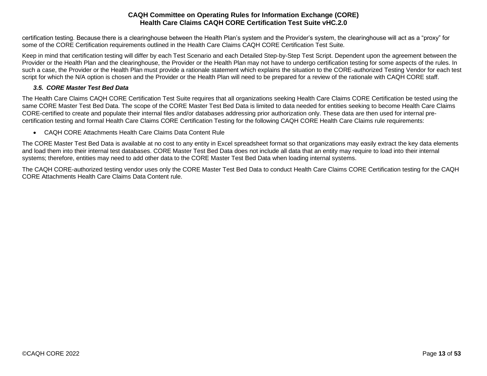certification testing. Because there is a clearinghouse between the Health Plan's system and the Provider's system, the clearinghouse will act as a "proxy" for some of the CORE Certification requirements outlined in the Health Care Claims CAQH CORE Certification Test Suite*.*

Keep in mind that certification testing will differ by each Test Scenario and each Detailed Step-by-Step Test Script. Dependent upon the agreement between the Provider or the Health Plan and the clearinghouse, the Provider or the Health Plan may not have to undergo certification testing for some aspects of the rules. In such a case, the Provider or the Health Plan must provide a rationale statement which explains the situation to the CORE-authorized Testing Vendor for each test script for which the N/A option is chosen and the Provider or the Health Plan will need to be prepared for a review of the rationale with CAQH CORE staff.

# *3.5. CORE Master Test Bed Data*

<span id="page-12-0"></span>The Health Care Claims CAQH CORE Certification Test Suite requires that all organizations seeking Health Care Claims CORE Certification be tested using the same CORE Master Test Bed Data. The scope of the CORE Master Test Bed Data is limited to data needed for entities seeking to become Health Care Claims CORE-certified to create and populate their internal files and/or databases addressing prior authorization only. These data are then used for internal precertification testing and formal Health Care Claims CORE Certification Testing for the following CAQH CORE Health Care Claims rule requirements:

• CAQH CORE Attachments Health Care Claims Data Content Rule

The CORE Master Test Bed Data is available at no cost to any entity in Excel spreadsheet format so that organizations may easily extract the key data elements and load them into their internal test databases. CORE Master Test Bed Data does not include all data that an entity may require to load into their internal systems; therefore, entities may need to add other data to the CORE Master Test Bed Data when loading internal systems.

The CAQH CORE-authorized testing vendor uses only the CORE Master Test Bed Data to conduct Health Care Claims CORE Certification testing for the CAQH CORE Attachments Health Care Claims Data Content rule.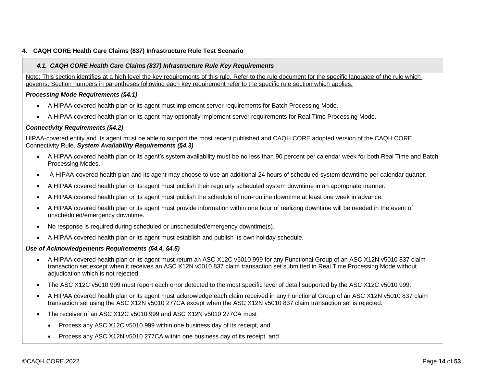# <span id="page-13-1"></span><span id="page-13-0"></span>**4. CAQH CORE Health Care Claims (837) Infrastructure Rule Test Scenario**

## *4.1. CAQH CORE Health Care Claims (837) Infrastructure Rule Key Requirements*

Note: This section identifies at a high level the key requirements of this rule. Refer to the rule document for the specific language of the rule which governs. Section numbers in parentheses following each key requirement refer to the specific rule section which applies.

### *Processing Mode Requirements (§4.1)*

- A HIPAA covered health plan or its agent must implement server requirements for Batch Processing Mode.
- A HIPAA covered health plan or its agent may optionally implement server requirements for Real Time Processing Mode.

## *Connectivity Requirements (§4.2)*

HIPAA-covered entity and its agent must be able to support the most recent published and CAQH CORE adopted version of the CAQH CORE Connectivity Rule. *System Availability Requirements (§4.3)*

- A HIPAA covered health plan or its agent's system availability must be no less than 90 percent per calendar week for both Real Time and Batch Processing Modes.
- A HIPAA-covered health plan and its agent may choose to use an additional 24 hours of scheduled system downtime per calendar quarter.
- A HIPAA covered health plan or its agent must publish their regularly scheduled system downtime in an appropriate manner.
- A HIPAA covered health plan or its agent must publish the schedule of non-routine downtime at least one week in advance.
- A HIPAA covered health plan or its agent must provide information within one hour of realizing downtime will be needed in the event of unscheduled/emergency downtime.
- No response is required during scheduled or unscheduled/emergency downtime(s).
- A HIPAA covered health plan or its agent must establish and publish its own holiday schedule.

## *Use of Acknowledgements Requirements (§4.4, §4.5)*

- A HIPAA covered health plan or its agent must return an ASC X12C v5010 999 for any Functional Group of an ASC X12N v5010 837 claim transaction set except when it receives an ASC X12N v5010 837 claim transaction set submitted in Real Time Processing Mode without adjudication which is not rejected.
- The ASC X12C v5010 999 must report each error detected to the most specific level of detail supported by the ASC X12C v5010 999.
- A HIPAA covered health plan or its agent must acknowledge each claim received in any Functional Group of an ASC X12N v5010 837 claim transaction set using the ASC X12N v5010 277CA except when the ASC X12N v5010 837 claim transaction set is rejected.
- The receiver of an ASC X12C v5010 999 and ASC X12N v5010 277CA must
	- Process any ASC X12C v5010 999 within one business day of its receipt, and
	- Process any ASC X12N v5010 277CA within one business day of its receipt, and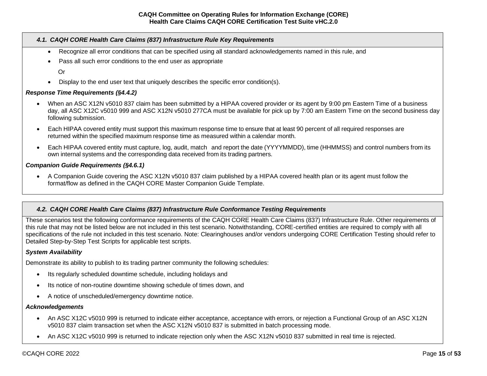## *4.1. CAQH CORE Health Care Claims (837) Infrastructure Rule Key Requirements*

- Recognize all error conditions that can be specified using all standard acknowledgements named in this rule, and
- Pass all such error conditions to the end user as appropriate

Or

• Display to the end user text that uniquely describes the specific error condition(s).

### *Response Time Requirements (§4.4.2)*

- When an ASC X12N v5010 837 claim has been submitted by a HIPAA covered provider or its agent by 9:00 pm Eastern Time of a business day, all ASC X12C v5010 999 and ASC X12N v5010 277CA must be available for pick up by 7:00 am Eastern Time on the second business day following submission.
- Each HIPAA covered entity must support this maximum response time to ensure that at least 90 percent of all required responses are returned within the specified maximum response time as measured within a calendar month.
- Each HIPAA covered entity must capture, log, audit, match and report the date (YYYYMMDD), time (HHMMSS) and control numbers from its own internal systems and the corresponding data received from its trading partners.

#### *Companion Guide Requirements (§4.6.1)*

• A Companion Guide covering the ASC X12N v5010 837 claim published by a HIPAA covered health plan or its agent must follow the format/flow as defined in the CAQH CORE Master Companion Guide Template.

## <span id="page-14-0"></span>*4.2. CAQH CORE Health Care Claims (837) Infrastructure Rule Conformance Testing Requirements*

These scenarios test the following conformance requirements of the CAQH CORE Health Care Claims (837) Infrastructure Rule. Other requirements of this rule that may not be listed below are not included in this test scenario. Notwithstanding, CORE-certified entities are required to comply with all specifications of the rule not included in this test scenario. Note: Clearinghouses and/or vendors undergoing CORE Certification Testing should refer to Detailed Step-by-Step Test Scripts for applicable test scripts.

#### *System Availability*

Demonstrate its ability to publish to its trading partner community the following schedules:

- Its regularly scheduled downtime schedule, including holidays and
- Its notice of non-routine downtime showing schedule of times down, and
- A notice of unscheduled/emergency downtime notice.

#### *Acknowledgements*

- An ASC X12C v5010 999 is returned to indicate either acceptance, acceptance with errors, or rejection a Functional Group of an ASC X12N v5010 837 claim transaction set when the ASC X12N v5010 837 is submitted in batch processing mode.
- An ASC X12C v5010 999 is returned to indicate rejection only when the ASC X12N v5010 837 submitted in real time is rejected.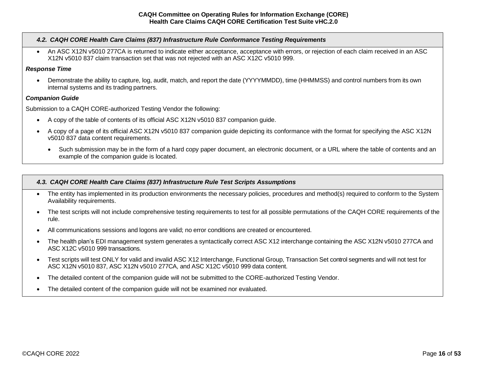## *4.2. CAQH CORE Health Care Claims (837) Infrastructure Rule Conformance Testing Requirements*

• An ASC X12N v5010 277CA is returned to indicate either acceptance, acceptance with errors, or rejection of each claim received in an ASC X12N v5010 837 claim transaction set that was not rejected with an ASC X12C v5010 999.

### *Response Time*

• Demonstrate the ability to capture, log, audit, match, and report the date (YYYYMMDD), time (HHMMSS) and control numbers from its own internal systems and its trading partners.

### *Companion Guide*

Submission to a CAQH CORE-authorized Testing Vendor the following:

- A copy of the table of contents of its official ASC X12N v5010 837 companion guide.
- A copy of a page of its official ASC X12N v5010 837 companion guide depicting its conformance with the format for specifying the ASC X12N v5010 837 data content requirements.
	- Such submission may be in the form of a hard copy paper document, an electronic document, or a URL where the table of contents and an example of the companion guide is located.

### <span id="page-15-0"></span>*4.3. CAQH CORE Health Care Claims (837) Infrastructure Rule Test Scripts Assumptions*

- The entity has implemented in its production environments the necessary policies, procedures and method(s) required to conform to the System Availability requirements.
- The test scripts will not include comprehensive testing requirements to test for all possible permutations of the CAQH CORE requirements of the rule.
- All communications sessions and logons are valid; no error conditions are created or encountered.
- The health plan's EDI management system generates a syntactically correct ASC X12 interchange containing the ASC X12N v5010 277CA and ASC X12C v5010 999 transactions.
- Test scripts will test ONLY for valid and invalid ASC X12 Interchange, Functional Group, Transaction Set control segments and will not test for ASC X12N v5010 837, ASC X12N v5010 277CA, and ASC X12C v5010 999 data content.
- The detailed content of the companion guide will not be submitted to the CORE-authorized Testing Vendor.
- The detailed content of the companion quide will not be examined nor evaluated.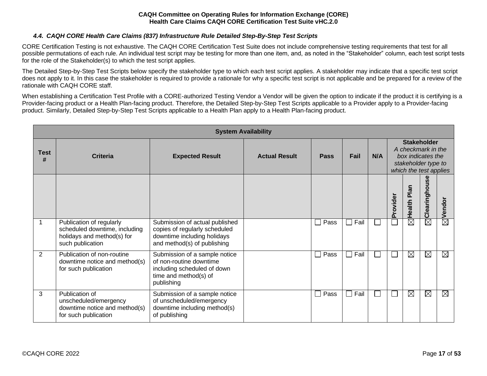# *4.4. CAQH CORE Health Care Claims (837) Infrastructure Rule Detailed Step-By-Step Test Scripts*

<span id="page-16-0"></span>CORE Certification Testing is not exhaustive. The CAQH CORE Certification Test Suite does not include comprehensive testing requirements that test for all possible permutations of each rule. An individual test script may be testing for more than one item, and, as noted in the "Stakeholder" column, each test script tests for the role of the Stakeholder(s) to which the test script applies.

The Detailed Step-by-Step Test Scripts below specify the stakeholder type to which each test script applies. A stakeholder may indicate that a specific test script does not apply to it. In this case the stakeholder is required to provide a rationale for why a specific test script is not applicable and be prepared for a review of the rationale with CAQH CORE staff.

When establishing a Certification Test Profile with a CORE-authorized Testing Vendor a Vendor will be given the option to indicate if the product it is certifying is a Provider-facing product or a Health Plan-facing product. Therefore, the Detailed Step-by-Step Test Scripts applicable to a Provider apply to a Provider-facing product. Similarly, Detailed Step-by-Step Test Scripts applicable to a Health Plan apply to a Health Plan-facing product.

|                  | <b>System Availability</b>                                                                                  |                                                                                                                                |                      |             |                        |     |          |                                                                                                                |               |             |
|------------------|-------------------------------------------------------------------------------------------------------------|--------------------------------------------------------------------------------------------------------------------------------|----------------------|-------------|------------------------|-----|----------|----------------------------------------------------------------------------------------------------------------|---------------|-------------|
| <b>Test</b><br># | Criteria                                                                                                    | <b>Expected Result</b>                                                                                                         | <b>Actual Result</b> | <b>Pass</b> | Fail                   | N/A |          | <b>Stakeholder</b><br>A checkmark in the<br>box indicates the<br>stakeholder type to<br>which the test applies |               |             |
|                  |                                                                                                             |                                                                                                                                |                      |             |                        |     | Provider | Plan<br>Health                                                                                                 | Clearinghouse | Vendor      |
|                  | Publication of regularly<br>scheduled downtime, including<br>holidays and method(s) for<br>such publication | Submission of actual published<br>copies of regularly scheduled<br>downtime including holidays<br>and method(s) of publishing  |                      | Pass        | $\Box$ Fail            |     |          | $\boxtimes$                                                                                                    | $\boxtimes$   | $\boxtimes$ |
| 2                | Publication of non-routine<br>downtime notice and method(s)<br>for such publication                         | Submission of a sample notice<br>of non-routine downtime<br>including scheduled of down<br>time and method(s) of<br>publishing |                      | Pass        | Fail<br>$\blacksquare$ |     |          | $\boxtimes$                                                                                                    | $\boxtimes$   | $\boxtimes$ |
| 3                | Publication of<br>unscheduled/emergency<br>downtime notice and method(s)<br>for such publication            | Submission of a sample notice<br>of unscheduled/emergency<br>downtime including method(s)<br>of publishing                     |                      | Pass        | $\square$ Fail         |     |          | $\boxtimes$                                                                                                    | $\boxtimes$   | $\boxtimes$ |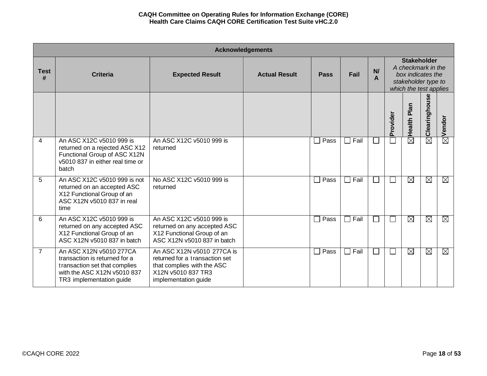|                  | <b>Acknowledgements</b>                                                                                                                              |                                                                                                                                          |                      |                      |      |              |              |                                                                                                                |                        |             |
|------------------|------------------------------------------------------------------------------------------------------------------------------------------------------|------------------------------------------------------------------------------------------------------------------------------------------|----------------------|----------------------|------|--------------|--------------|----------------------------------------------------------------------------------------------------------------|------------------------|-------------|
| <b>Test</b><br># | <b>Criteria</b>                                                                                                                                      | <b>Expected Result</b>                                                                                                                   | <b>Actual Result</b> | <b>Pass</b>          | Fail | N<br>A       |              | <b>Stakeholder</b><br>A checkmark in the<br>box indicates the<br>stakeholder type to<br>which the test applies |                        |             |
|                  |                                                                                                                                                      |                                                                                                                                          |                      |                      |      |              | Provider     | Plan<br>Health                                                                                                 | Clearinghouse          | Vendor      |
| 4                | An ASC X12C v5010 999 is<br>returned on a rejected ASC X12<br>Functional Group of ASC X12N<br>v5010 837 in either real time or<br>batch              | An ASC X12C v5010 999 is<br>returned                                                                                                     |                      | Pass<br>$\Box$       | Fail | $\mathbf{I}$ |              | $\boxtimes$                                                                                                    | $\overline{\boxtimes}$ | 囟           |
| 5                | An ASC X12C v5010 999 is not<br>returned on an accepted ASC<br>X12 Functional Group of an<br>ASC X12N v5010 837 in real<br>time                      | No ASC X12C v5010 999 is<br>returned                                                                                                     |                      | Pass<br>$\Box$       | Fail | $\mathbf{I}$ |              | $\boxtimes$                                                                                                    | $\boxtimes$            | $\boxtimes$ |
| 6                | An ASC X12C v5010 999 is<br>returned on any accepted ASC<br>X12 Functional Group of an<br>ASC X12N v5010 837 in batch                                | An ASC X12C v5010 999 is<br>returned on any accepted ASC<br>X12 Functional Group of an<br>ASC X12N v5010 837 in batch                    |                      | Pass<br>$\mathsf{L}$ | Fail | $\mathbf{L}$ |              | $\boxtimes$                                                                                                    | $\boxtimes$            | $\boxtimes$ |
| $\overline{7}$   | An ASC X12N v5010 277CA<br>transaction is returned for a<br>transaction set that complies<br>with the ASC X12N v5010 837<br>TR3 implementation guide | An ASC X12N v5010 277CA is<br>returned for a transaction set<br>that complies with the ASC<br>X12N v5010 837 TR3<br>implementation guide |                      | Pass<br>$\Box$       | Fail | $\mathbf{L}$ | $\mathsf{L}$ | $\boxtimes$                                                                                                    | $\boxtimes$            | $\boxtimes$ |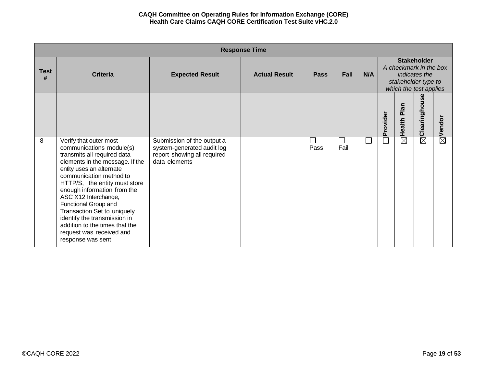|                  | <b>Response Time</b>                                                                                                                                                                                                                                                                                                                                                                                                                          |                                                                                                          |                      |             |            |     |          |                                                                                                                |               |                    |
|------------------|-----------------------------------------------------------------------------------------------------------------------------------------------------------------------------------------------------------------------------------------------------------------------------------------------------------------------------------------------------------------------------------------------------------------------------------------------|----------------------------------------------------------------------------------------------------------|----------------------|-------------|------------|-----|----------|----------------------------------------------------------------------------------------------------------------|---------------|--------------------|
| <b>Test</b><br># | <b>Criteria</b>                                                                                                                                                                                                                                                                                                                                                                                                                               | <b>Expected Result</b>                                                                                   | <b>Actual Result</b> | <b>Pass</b> | Fail       | N/A |          | <b>Stakeholder</b><br>A checkmark in the box<br>indicates the<br>stakeholder type to<br>which the test applies |               |                    |
|                  |                                                                                                                                                                                                                                                                                                                                                                                                                                               |                                                                                                          |                      |             |            |     | Provider | Plan<br>Health I                                                                                               | Clearinghouse | $\boxtimes$ Vendor |
| 8                | Verify that outer most<br>communications module(s)<br>transmits all required data<br>elements in the message. If the<br>entity uses an alternate<br>communication method to<br>HTTP/S, the entity must store<br>enough information from the<br>ASC X12 Interchange,<br>Functional Group and<br>Transaction Set to uniquely<br>identify the transmission in<br>addition to the times that the<br>request was received and<br>response was sent | Submission of the output a<br>system-generated audit log<br>report showing all required<br>data elements |                      | Pass        | ΙI<br>Fail |     |          | $\overline{\boxtimes}$                                                                                         | $\boxtimes$   |                    |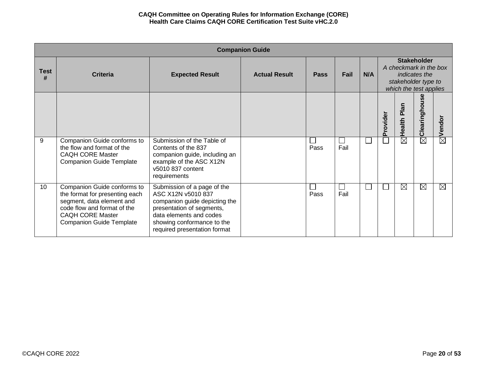|                  | <b>Companion Guide</b>                                                                                                                                                                  |                                                                                                                                                                                                          |                      |             |                |              |          |                                                                                                                |               |                    |  |
|------------------|-----------------------------------------------------------------------------------------------------------------------------------------------------------------------------------------|----------------------------------------------------------------------------------------------------------------------------------------------------------------------------------------------------------|----------------------|-------------|----------------|--------------|----------|----------------------------------------------------------------------------------------------------------------|---------------|--------------------|--|
| <b>Test</b><br># | <b>Criteria</b>                                                                                                                                                                         | <b>Expected Result</b>                                                                                                                                                                                   | <b>Actual Result</b> | <b>Pass</b> | Fail           | N/A          |          | <b>Stakeholder</b><br>A checkmark in the box<br>indicates the<br>stakeholder type to<br>which the test applies |               |                    |  |
|                  |                                                                                                                                                                                         |                                                                                                                                                                                                          |                      |             |                |              | Provider | <b>Plai</b><br>Health I                                                                                        | Clearinghouse | $\boxtimes$ Vendor |  |
| 9                | Companion Guide conforms to<br>the flow and format of the<br><b>CAQH CORE Master</b><br><b>Companion Guide Template</b>                                                                 | Submission of the Table of<br>Contents of the 837<br>companion guide, including an<br>example of the ASC X12N<br>v5010 837 content<br>requirements                                                       |                      | Pass        | $\Box$<br>Fail | $\mathbf{L}$ |          | $\boxtimes$                                                                                                    | $\boxtimes$   |                    |  |
| 10               | Companion Guide conforms to<br>the format for presenting each<br>segment, data element and<br>code flow and format of the<br><b>CAQH CORE Master</b><br><b>Companion Guide Template</b> | Submission of a page of the<br>ASC X12N v5010 837<br>companion guide depicting the<br>presentation of segments,<br>data elements and codes<br>showing conformance to the<br>required presentation format |                      | Pass        | $\Box$<br>Fail | $\mathbb{R}$ |          | $\boxtimes$                                                                                                    | ⊠             | $\boxtimes$        |  |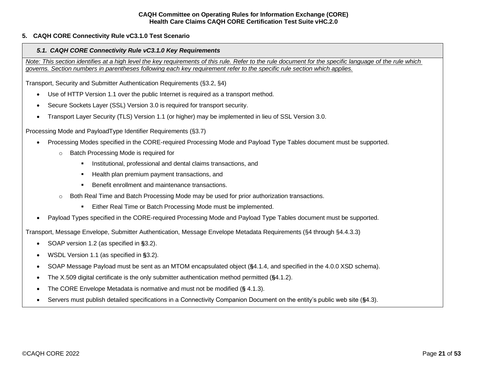## <span id="page-20-1"></span><span id="page-20-0"></span>**5. CAQH CORE Connectivity Rule vC3.1.0 Test Scenario**

### *5.1. CAQH CORE Connectivity Rule vC3.1.0 Key Requirements*

*Note: This section identifies at a high level the key requirements of this rule. Refer to the rule document for the specific language of the rule which governs. Section numbers in parentheses following each key requirement refer to the specific rule section which applies.*

Transport, Security and Submitter Authentication Requirements (§3.2, §4)

- Use of HTTP Version 1.1 over the public Internet is required as a transport method.
- Secure Sockets Layer (SSL) Version 3.0 is required for transport security.
- Transport Layer Security (TLS) Version 1.1 (or higher) may be implemented in lieu of SSL Version 3.0.

Processing Mode and PayloadType Identifier Requirements (§3.7)

- Processing Modes specified in the CORE-required Processing Mode and Payload Type Tables document must be supported.
	- o Batch Processing Mode is required for
		- **EXECT** Institutional, professional and dental claims transactions, and
		- Health plan premium payment transactions, and
		- Benefit enrollment and maintenance transactions.
	- Both Real Time and Batch Processing Mode may be used for prior authorization transactions.
		- Either Real Time or Batch Processing Mode must be implemented.
- Payload Types specified in the CORE-required Processing Mode and Payload Type Tables document must be supported.

Transport, Message Envelope, Submitter Authentication, Message Envelope Metadata Requirements (§4 through §4.4.3.3)

- SOAP version 1.2 (as specified in **§**3.2).
- WSDL Version 1.1 (as specified in **§**3.2).
- SOAP Message Payload must be sent as an MTOM encapsulated object (**§**4.1.4, and specified in the 4.0.0 XSD schema).
- The X.509 digital certificate is the only submitter authentication method permitted (**§**4.1.2).
- The CORE Envelope Metadata is normative and must not be modified (**§** 4.1.3).
- Servers must publish detailed specifications in a Connectivity Companion Document on the entity's public web site (**§**4.3).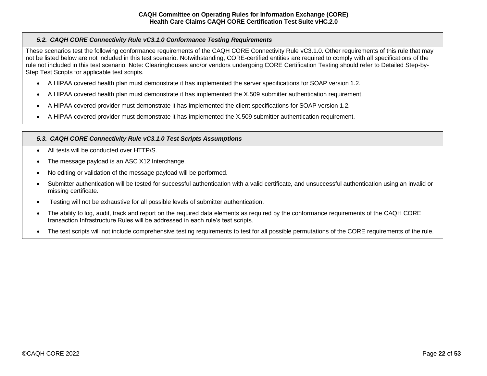# <span id="page-21-0"></span>*5.2. CAQH CORE Connectivity Rule vC3.1.0 Conformance Testing Requirements*

These scenarios test the following conformance requirements of the CAQH CORE Connectivity Rule vC3.1.0. Other requirements of this rule that may not be listed below are not included in this test scenario. Notwithstanding, CORE-certified entities are required to comply with all specifications of the rule not included in this test scenario. Note: Clearinghouses and/or vendors undergoing CORE Certification Testing should refer to Detailed Step-by-Step Test Scripts for applicable test scripts.

- A HIPAA covered health plan must demonstrate it has implemented the server specifications for SOAP version 1.2.
- A HIPAA covered health plan must demonstrate it has implemented the X.509 submitter authentication requirement.
- A HIPAA covered provider must demonstrate it has implemented the client specifications for SOAP version 1.2.
- A HIPAA covered provider must demonstrate it has implemented the X.509 submitter authentication requirement.

# <span id="page-21-1"></span>*5.3. CAQH CORE Connectivity Rule vC3.1.0 Test Scripts Assumptions*

- All tests will be conducted over HTTP/S.
- The message payload is an ASC X12 Interchange.
- No editing or validation of the message payload will be performed.
- Submitter authentication will be tested for successful authentication with a valid certificate, and unsuccessful authentication using an invalid or missing certificate.
- Testing will not be exhaustive for all possible levels of submitter authentication.
- The ability to log, audit, track and report on the required data elements as required by the conformance requirements of the CAQH CORE transaction Infrastructure Rules will be addressed in each rule's test scripts.
- The test scripts will not include comprehensive testing requirements to test for all possible permutations of the CORE requirements of the rule.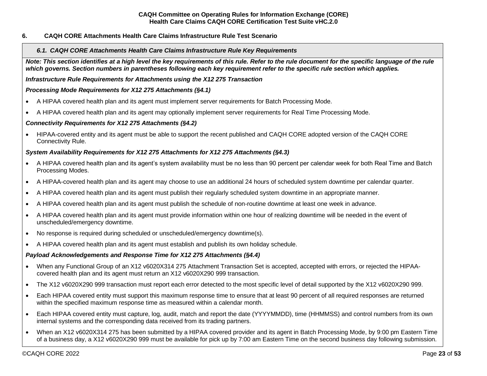## <span id="page-22-1"></span><span id="page-22-0"></span>**6. CAQH CORE Attachments Health Care Claims Infrastructure Rule Test Scenario**

### *6.1. CAQH CORE Attachments Health Care Claims Infrastructure Rule Key Requirements*

*Note: This section identifies at a high level the key requirements of this rule. Refer to the rule document for the specific language of the rule which governs. Section numbers in parentheses following each key requirement refer to the specific rule section which applies.*

*Infrastructure Rule Requirements for Attachments using the X12 275 Transaction*

### *Processing Mode Requirements for X12 275 Attachments (§4.1)*

- A HIPAA covered health plan and its agent must implement server requirements for Batch Processing Mode.
- A HIPAA covered health plan and its agent may optionally implement server requirements for Real Time Processing Mode.

## *Connectivity Requirements for X12 275 Attachments (§4.2)*

• HIPAA-covered entity and its agent must be able to support the recent published and CAQH CORE adopted version of the CAQH CORE Connectivity Rule.

# *System Availability Requirements for X12 275 Attachments for X12 275 Attachments (§4.3)*

- A HIPAA covered health plan and its agent's system availability must be no less than 90 percent per calendar week for both Real Time and Batch Processing Modes.
- A HIPAA-covered health plan and its agent may choose to use an additional 24 hours of scheduled system downtime per calendar quarter.
- A HIPAA covered health plan and its agent must publish their regularly scheduled system downtime in an appropriate manner.
- A HIPAA covered health plan and its agent must publish the schedule of non-routine downtime at least one week in advance.
- A HIPAA covered health plan and its agent must provide information within one hour of realizing downtime will be needed in the event of unscheduled/emergency downtime.
- No response is required during scheduled or unscheduled/emergency downtime(s).
- A HIPAA covered health plan and its agent must establish and publish its own holiday schedule.

## *Payload Acknowledgements and Response Time for X12 275 Attachments (§4.4)*

- When any Functional Group of an X12 v6020X314 275 Attachment Transaction Set is accepted, accepted with errors, or rejected the HIPAAcovered health plan and its agent must return an X12 v6020X290 999 transaction.
- The X12 v6020X290 999 transaction must report each error detected to the most specific level of detail supported by the X12 v6020X290 999.
- Each HIPAA covered entity must support this maximum response time to ensure that at least 90 percent of all required responses are returned within the specified maximum response time as measured within a calendar month.
- Each HIPAA covered entity must capture, log, audit, match and report the date (YYYYMMDD), time (HHMMSS) and control numbers from its own internal systems and the corresponding data received from its trading partners.
- When an X12 v6020X314 275 has been submitted by a HIPAA covered provider and its agent in Batch Processing Mode, by 9:00 pm Eastern Time of a business day, a X12 v6020X290 999 must be available for pick up by 7:00 am Eastern Time on the second business day following submission.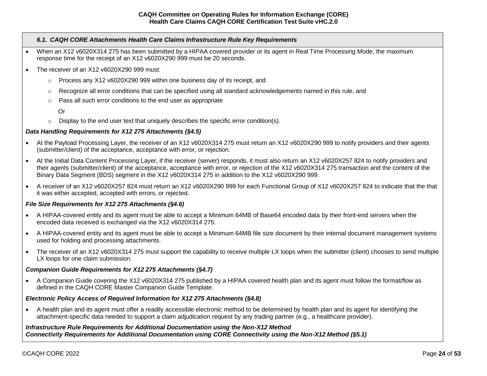## *6.1. CAQH CORE Attachments Health Care Claims Infrastructure Rule Key Requirements*

- When an X12 v6020X314 275 has been submitted by a HIPAA covered provider or its agent in Real Time Processing Mode, the maximum response time for the receipt of an X12 v6020X290 999 must be 20 seconds.
- The receiver of an X12 v6020X290 999 must:
	- $\circ$  Process any X12 v6020X290 999 within one business day of its receipt, and
	- o Recognize all error conditions that can be specified using all standard acknowledgements named in this rule, and
	- o Pass all such error conditions to the end user as appropriate
		- Or
	- $\circ$  Display to the end user text that uniquely describes the specific error condition(s).

## *Data Handling Requirements for X12 275 Attachments (§4.5)*

- At the Payload Processing Layer, the receiver of an X12 v6020X314 275 must return an X12 v6020X290 999 to notify providers and their agents (submitter/client) of the acceptance, acceptance with error, or rejection.
- At the Initial Data Content Processing Layer, if the receiver (server) responds, it must also return an X12 v6020X257 824 to notify providers and their agents (submitter/client) of the acceptance, acceptance with error, or rejection of the X12 v6020X314 275 transaction and the content of the Binary Data Segment (BDS) segment in the X12 v6020X314 275 in addition to the X12 v6020X290 999.
- A receiver of an X12 v6020X257 824 must return an X12 v6020X290 999 for each Functional Group of X12 v6020X257 824 to indicate that the that it was either accepted, accepted with errors, or rejected.

## *File Size Requirements for X12 275 Attachments (§4.6)*

- A HIPAA-covered entity and its agent must be able to accept a Minimum 64MB of Base64 encoded data by their front-end servers when the encoded data received is exchanged via the X12 v6020X314 275.
- A HIPAA-covered entity and its agent must be able to accept a Minimum 64MB file size document by their internal document management systems used for holding and processing attachments.
- The receiver of an X12 v6020X314 275 must support the capability to receive multiple LX loops when the submitter (client) chooses to send multiple LX loops for one claim submission.

## *Companion Guide Requirements for X12 275 Attachments (§4.7)*

• A Companion Guide covering the X12 v6020X314 275 published by a HIPAA covered health plan and its agent must follow the format/flow as defined in the CAQH CORE Master Companion Guide Template.

#### *Electronic Policy Access of Required Information for X12 275 Attachments (§4.8)*

• A health plan and its agent must offer a readily accessible electronic method to be determined by health plan and its agent for identifying the attachment-specific data needed to support a claim adjudication request by any trading partner (e.g., a healthcare provider).

*Infrastructure Rule Requirements for Additional Documentation using the Non-X12 Method Connectivity Requirements for Additional Documentation using CORE Connectivity using the Non-X12 Method (§5.1)*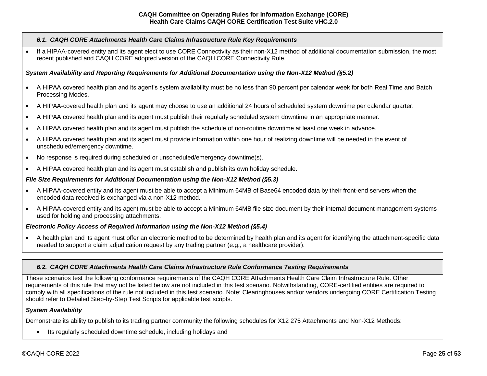### *6.1. CAQH CORE Attachments Health Care Claims Infrastructure Rule Key Requirements*

If a HIPAA-covered entity and its agent elect to use CORE Connectivity as their non-X12 method of additional documentation submission, the most recent published and CAQH CORE adopted version of the CAQH CORE Connectivity Rule.

# *System Availability and Reporting Requirements for Additional Documentation using the Non-X12 Method (§5.2)*

- A HIPAA covered health plan and its agent's system availability must be no less than 90 percent per calendar week for both Real Time and Batch Processing Modes.
- A HIPAA-covered health plan and its agent may choose to use an additional 24 hours of scheduled system downtime per calendar quarter.
- A HIPAA covered health plan and its agent must publish their regularly scheduled system downtime in an appropriate manner.
- A HIPAA covered health plan and its agent must publish the schedule of non-routine downtime at least one week in advance.
- A HIPAA covered health plan and its agent must provide information within one hour of realizing downtime will be needed in the event of unscheduled/emergency downtime.
- No response is required during scheduled or unscheduled/emergency downtime(s).
- A HIPAA covered health plan and its agent must establish and publish its own holiday schedule.

# *File Size Requirements for Additional Documentation using the Non-X12 Method (§5.3)*

- A HIPAA-covered entity and its agent must be able to accept a Minimum 64MB of Base64 encoded data by their front-end servers when the encoded data received is exchanged via a non-X12 method.
- A HIPAA-covered entity and its agent must be able to accept a Minimum 64MB file size document by their internal document management systems used for holding and processing attachments.

# *Electronic Policy Access of Required Information using the Non-X12 Method (§5.4)*

• A health plan and its agent must offer an electronic method to be determined by health plan and its agent for identifying the attachment-specific data needed to support a claim adjudication request by any trading partner (e.g., a healthcare provider).

## <span id="page-24-0"></span>*6.2. CAQH CORE Attachments Health Care Claims Infrastructure Rule Conformance Testing Requirements*

These scenarios test the following conformance requirements of the CAQH CORE Attachments Health Care Claim Infrastructure Rule. Other requirements of this rule that may not be listed below are not included in this test scenario. Notwithstanding, CORE-certified entities are required to comply with all specifications of the rule not included in this test scenario. Note: Clearinghouses and/or vendors undergoing CORE Certification Testing should refer to Detailed Step-by-Step Test Scripts for applicable test scripts.

## *System Availability*

Demonstrate its ability to publish to its trading partner community the following schedules for X12 275 Attachments and Non-X12 Methods:

• Its regularly scheduled downtime schedule, including holidays and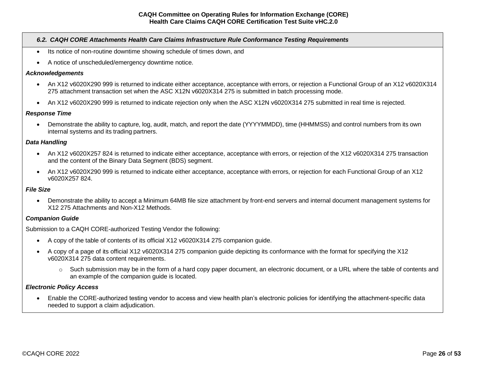## *6.2. CAQH CORE Attachments Health Care Claims Infrastructure Rule Conformance Testing Requirements*

- Its notice of non-routine downtime showing schedule of times down, and
- A notice of unscheduled/emergency downtime notice.

#### *Acknowledgements*

- An X12 v6020X290 999 is returned to indicate either acceptance, acceptance with errors, or rejection a Functional Group of an X12 v6020X314 275 attachment transaction set when the ASC X12N v6020X314 275 is submitted in batch processing mode.
- An X12 v6020X290 999 is returned to indicate rejection only when the ASC X12N v6020X314 275 submitted in real time is rejected.

#### *Response Time*

• Demonstrate the ability to capture, log, audit, match, and report the date (YYYYMMDD), time (HHMMSS) and control numbers from its own internal systems and its trading partners.

#### *Data Handling*

- An X12 v6020X257 824 is returned to indicate either acceptance, acceptance with errors, or rejection of the X12 v6020X314 275 transaction and the content of the Binary Data Segment (BDS) segment.
- An X12 v6020X290 999 is returned to indicate either acceptance, acceptance with errors, or rejection for each Functional Group of an X12 v6020X257 824.

#### *File Size*

• Demonstrate the ability to accept a Minimum 64MB file size attachment by front-end servers and internal document management systems for X12 275 Attachments and Non-X12 Methods.

#### *Companion Guide*

Submission to a CAQH CORE-authorized Testing Vendor the following:

- A copy of the table of contents of its official X12 v6020X314 275 companion guide.
- A copy of a page of its official X12 v6020X314 275 companion guide depicting its conformance with the format for specifying the X12 v6020X314 275 data content requirements.
	- o Such submission may be in the form of a hard copy paper document, an electronic document, or a URL where the table of contents and an example of the companion guide is located.

#### *Electronic Policy Access*

• Enable the CORE-authorized testing vendor to access and view health plan's electronic policies for identifying the attachment-specific data needed to support a claim adjudication.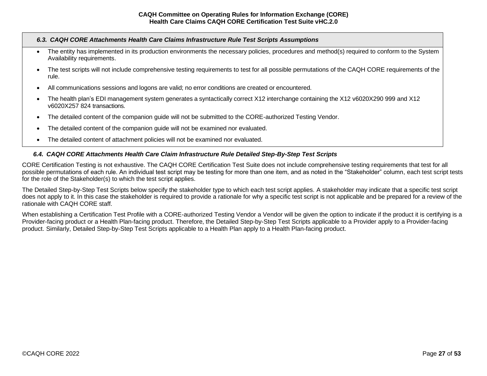#### <span id="page-26-0"></span>*6.3. CAQH CORE Attachments Health Care Claims Infrastructure Rule Test Scripts Assumptions*

- The entity has implemented in its production environments the necessary policies, procedures and method(s) required to conform to the System Availability requirements.
- The test scripts will not include comprehensive testing requirements to test for all possible permutations of the CAQH CORE requirements of the rule.
- All communications sessions and logons are valid; no error conditions are created or encountered.
- The health plan's EDI management system generates a syntactically correct X12 interchange containing the X12 v6020X290 999 and X12 v6020X257 824 transactions.
- The detailed content of the companion guide will not be submitted to the CORE-authorized Testing Vendor.
- The detailed content of the companion quide will not be examined nor evaluated.
- The detailed content of attachment policies will not be examined nor evaluated.

#### <span id="page-26-1"></span>*6.4. CAQH CORE Attachments Health Care Claim Infrastructure Rule Detailed Step-By-Step Test Scripts*

CORE Certification Testing is not exhaustive. The CAQH CORE Certification Test Suite does not include comprehensive testing requirements that test for all possible permutations of each rule. An individual test script may be testing for more than one item, and as noted in the "Stakeholder" column, each test script tests for the role of the Stakeholder(s) to which the test script applies.

The Detailed Step-by-Step Test Scripts below specify the stakeholder type to which each test script applies. A stakeholder may indicate that a specific test script does not apply to it. In this case the stakeholder is required to provide a rationale for why a specific test script is not applicable and be prepared for a review of the rationale with CAQH CORE staff.

When establishing a Certification Test Profile with a CORE-authorized Testing Vendor a Vendor will be given the option to indicate if the product it is certifying is a Provider-facing product or a Health Plan-facing product. Therefore, the Detailed Step-by-Step Test Scripts applicable to a Provider apply to a Provider-facing product. Similarly, Detailed Step-by-Step Test Scripts applicable to a Health Plan apply to a Health Plan-facing product.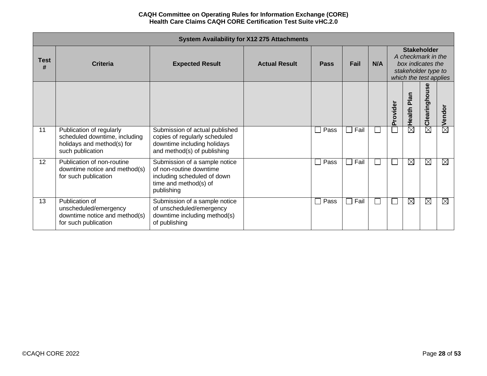|           | <b>System Availability for X12 275 Attachments</b>                                                          |                                                                                                                                |                      |             |      |     |          |                                                                                                                |               |             |  |
|-----------|-------------------------------------------------------------------------------------------------------------|--------------------------------------------------------------------------------------------------------------------------------|----------------------|-------------|------|-----|----------|----------------------------------------------------------------------------------------------------------------|---------------|-------------|--|
| Test<br># | <b>Criteria</b>                                                                                             | <b>Expected Result</b>                                                                                                         | <b>Actual Result</b> | <b>Pass</b> | Fail | N/A |          | <b>Stakeholder</b><br>A checkmark in the<br>box indicates the<br>stakeholder type to<br>which the test applies |               |             |  |
|           |                                                                                                             |                                                                                                                                |                      |             |      |     | Provider | Plan<br>Health                                                                                                 | Clearinghouse | Vendor      |  |
| 11        | Publication of regularly<br>scheduled downtime, including<br>holidays and method(s) for<br>such publication | Submission of actual published<br>copies of regularly scheduled<br>downtime including holidays<br>and method(s) of publishing  |                      | Pass        | Fail |     |          | $\boxtimes$                                                                                                    | $\boxtimes$   | $\boxtimes$ |  |
| 12        | Publication of non-routine<br>downtime notice and method(s)<br>for such publication                         | Submission of a sample notice<br>of non-routine downtime<br>including scheduled of down<br>time and method(s) of<br>publishing |                      | Pass        | Fail |     |          | $\boxtimes$                                                                                                    | $\boxtimes$   | $\boxtimes$ |  |
| 13        | Publication of<br>unscheduled/emergency<br>downtime notice and method(s)<br>for such publication            | Submission of a sample notice<br>of unscheduled/emergency<br>downtime including method(s)<br>of publishing                     |                      | Pass        | Fail |     |          | $\boxtimes$                                                                                                    | ⊠             | $\boxtimes$ |  |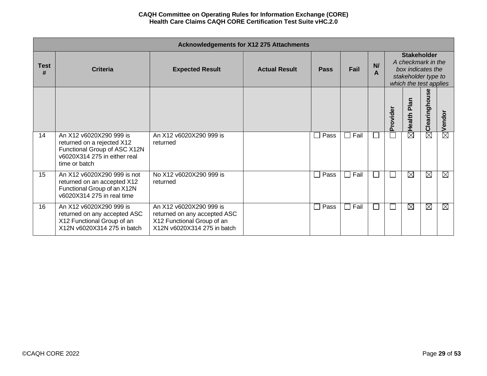|                  | <b>Acknowledgements for X12 275 Attachments</b>                                                                                        |                                                                                                                      |                      |                      |      |              |          |                                                                                                                |                        |             |  |  |
|------------------|----------------------------------------------------------------------------------------------------------------------------------------|----------------------------------------------------------------------------------------------------------------------|----------------------|----------------------|------|--------------|----------|----------------------------------------------------------------------------------------------------------------|------------------------|-------------|--|--|
| <b>Test</b><br># | <b>Criteria</b>                                                                                                                        | <b>Expected Result</b>                                                                                               | <b>Actual Result</b> | <b>Pass</b>          | Fail | N/<br>A      |          | <b>Stakeholder</b><br>A checkmark in the<br>box indicates the<br>stakeholder type to<br>which the test applies |                        |             |  |  |
|                  |                                                                                                                                        |                                                                                                                      |                      |                      |      |              | Provider | Plan<br>Health                                                                                                 | Clearinghouse          | Vendor      |  |  |
| 14               | An X12 v6020X290 999 is<br>returned on a rejected X12<br>Functional Group of ASC X12N<br>v6020X314 275 in either real<br>time or batch | An X12 v6020X290 999 is<br>returned                                                                                  |                      | Pass<br>$\Box$       | Fail |              |          | $\boxtimes$                                                                                                    | $\overline{\boxtimes}$ | $\boxtimes$ |  |  |
| 15               | An X12 v6020X290 999 is not<br>returned on an accepted X12<br>Functional Group of an X12N<br>v6020X314 275 in real time                | No X12 v6020X290 999 is<br>returned                                                                                  |                      | Pass<br>$\perp$      | Fail | $\mathbf{L}$ |          | $\boxtimes$                                                                                                    | $\boxtimes$            | $\boxtimes$ |  |  |
| 16               | An X12 v6020X290 999 is<br>returned on any accepted ASC<br>X12 Functional Group of an<br>X12N v6020X314 275 in batch                   | An X12 v6020X290 999 is<br>returned on any accepted ASC<br>X12 Functional Group of an<br>X12N v6020X314 275 in batch |                      | Pass<br>$\mathsf{L}$ | Fail | $\mathbf{L}$ |          | $\boxtimes$                                                                                                    | $\boxtimes$            | $\boxtimes$ |  |  |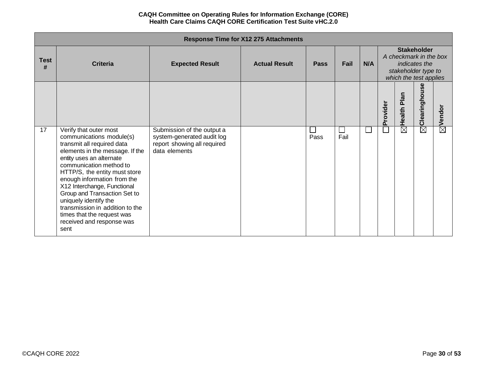|                  |                                                                                                                                                                                                                                                                                                                                                                                                                                          |                                                                                                          | <b>Response Time for X12 275 Attachments</b> |                    |            |     |          |                                                                                                                |                    |                        |  |
|------------------|------------------------------------------------------------------------------------------------------------------------------------------------------------------------------------------------------------------------------------------------------------------------------------------------------------------------------------------------------------------------------------------------------------------------------------------|----------------------------------------------------------------------------------------------------------|----------------------------------------------|--------------------|------------|-----|----------|----------------------------------------------------------------------------------------------------------------|--------------------|------------------------|--|
| <b>Test</b><br># | <b>Criteria</b>                                                                                                                                                                                                                                                                                                                                                                                                                          | <b>Expected Result</b>                                                                                   | <b>Actual Result</b>                         | <b>Pass</b>        | Fail       | N/A |          | <b>Stakeholder</b><br>A checkmark in the box<br>indicates the<br>stakeholder type to<br>which the test applies |                    |                        |  |
|                  |                                                                                                                                                                                                                                                                                                                                                                                                                                          |                                                                                                          |                                              |                    |            |     | Provider | Plan<br>Health I                                                                                               | မ္တ<br>Clearinghou | Vendor                 |  |
| 17               | Verify that outer most<br>communications module(s)<br>transmit all required data<br>elements in the message. If the<br>entity uses an alternate<br>communication method to<br>HTTP/S, the entity must store<br>enough information from the<br>X12 Interchange, Functional<br>Group and Transaction Set to<br>uniquely identify the<br>transmission in addition to the<br>times that the request was<br>received and response was<br>sent | Submission of the output a<br>system-generated audit log<br>report showing all required<br>data elements |                                              | <b>COL</b><br>Pass | ÷.<br>Fail |     |          | $\overline{\boxtimes}$                                                                                         | $\boxtimes$        | $\overline{\boxtimes}$ |  |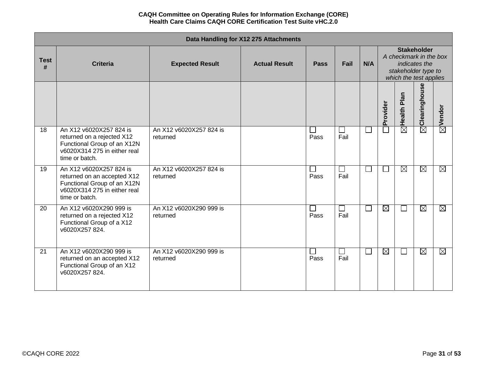|                  | Data Handling for X12 275 Attachments<br><b>Stakeholder</b>                                                                             |                                     |                      |             |                |        |             |                                                                                          |                           |                    |  |  |  |
|------------------|-----------------------------------------------------------------------------------------------------------------------------------------|-------------------------------------|----------------------|-------------|----------------|--------|-------------|------------------------------------------------------------------------------------------|---------------------------|--------------------|--|--|--|
| <b>Test</b><br># | <b>Criteria</b>                                                                                                                         | <b>Expected Result</b>              | <b>Actual Result</b> | <b>Pass</b> | Fail           | N/A    |             | A checkmark in the box<br>indicates the<br>stakeholder type to<br>which the test applies |                           |                    |  |  |  |
|                  |                                                                                                                                         |                                     |                      |             |                |        | Provider    | $\boxtimes$  Health Plan                                                                 | $\boxtimes$ Clearinghouse | $\boxtimes$ Vendor |  |  |  |
| 18               | An X12 v6020X257 824 is<br>returned on a rejected X12<br>Functional Group of an X12N<br>v6020X314 275 in either real<br>time or batch.  | An X12 v6020X257 824 is<br>returned |                      | Pass        | $\sim$<br>Fail |        |             |                                                                                          |                           |                    |  |  |  |
| 19               | An X12 v6020X257 824 is<br>returned on an accepted X12<br>Functional Group of an X12N<br>v6020X314 275 in either real<br>time or batch. | An X12 v6020X257 824 is<br>returned |                      | Pass        | Fail           |        |             | $\boxtimes$                                                                              | $\boxtimes$               | $\boxtimes$        |  |  |  |
| 20               | An X12 v6020X290 999 is<br>returned on a rejected X12<br>Functional Group of a X12<br>v6020X257824.                                     | An X12 v6020X290 999 is<br>returned |                      | Pass        | Fail           | $\Box$ | $\boxtimes$ | $\Box$                                                                                   | $\boxtimes$               | $\boxtimes$        |  |  |  |
| 21               | An X12 v6020X290 999 is<br>returned on an accepted X12<br>Functional Group of an X12<br>v6020X257824.                                   | An X12 v6020X290 999 is<br>returned |                      | Pass        | $\sim$<br>Fail | $\Box$ | $\boxtimes$ | $\Box$                                                                                   | $\boxtimes$               | $\boxtimes$        |  |  |  |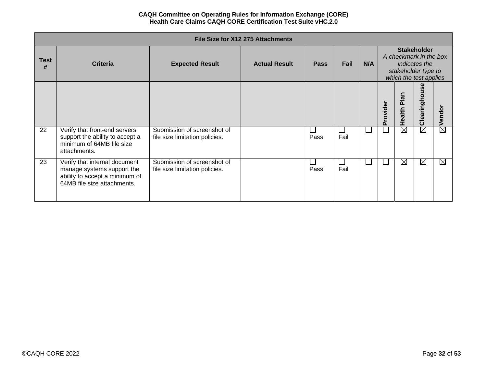|                  | File Size for X12 275 Attachments<br><b>Stakeholder</b>                                                                      |                                                               |                      |             |                |     |          |                                                                                                 |                        |                        |  |  |  |
|------------------|------------------------------------------------------------------------------------------------------------------------------|---------------------------------------------------------------|----------------------|-------------|----------------|-----|----------|-------------------------------------------------------------------------------------------------|------------------------|------------------------|--|--|--|
| <b>Test</b><br># | <b>Criteria</b>                                                                                                              | <b>Expected Result</b>                                        | <b>Actual Result</b> | <b>Pass</b> | Fail           | N/A |          | A checkmark in the box<br><i>indicates the</i><br>stakeholder type to<br>which the test applies |                        |                        |  |  |  |
|                  |                                                                                                                              |                                                               |                      |             |                |     | Provider | Health Plan                                                                                     | မ္တ<br>Clearingho      | Vendor                 |  |  |  |
| 22               | Verify that front-end servers<br>support the ability to accept a<br>minimum of 64MB file size<br>attachments.                | Submission of screenshot of<br>file size limitation policies. |                      | Pass        | $\sim$<br>Fail |     |          | $\boxtimes$                                                                                     | $\overline{\boxtimes}$ | $\overline{\boxtimes}$ |  |  |  |
| 23               | Verify that internal document<br>manage systems support the<br>ability to accept a minimum of<br>64MB file size attachments. | Submission of screenshot of<br>file size limitation policies. |                      | Pass        | a s<br>Fail    |     |          | $\boxtimes$                                                                                     | $\boxtimes$            | ⊠                      |  |  |  |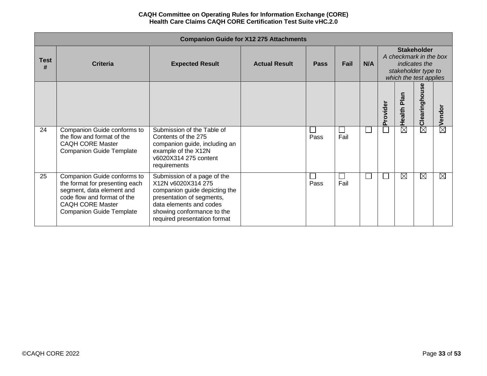|                  |                                                                                                                                                                                         |                                                                                                                                                                                                          | <b>Companion Guide for X12 275 Attachments</b> |             |      |     |          |                                                                         |                                     |                        |
|------------------|-----------------------------------------------------------------------------------------------------------------------------------------------------------------------------------------|----------------------------------------------------------------------------------------------------------------------------------------------------------------------------------------------------------|------------------------------------------------|-------------|------|-----|----------|-------------------------------------------------------------------------|-------------------------------------|------------------------|
| <b>Test</b><br># | <b>Criteria</b>                                                                                                                                                                         | <b>Expected Result</b>                                                                                                                                                                                   | <b>Actual Result</b>                           | <b>Pass</b> | Fail | N/A |          | A checkmark in the box<br>stakeholder type to<br>which the test applies | <b>Stakeholder</b><br>indicates the |                        |
|                  |                                                                                                                                                                                         |                                                                                                                                                                                                          |                                                |             |      |     | Provider | Health Pla                                                              | 86<br><b>Clearingho</b>             | Vendor                 |
| 24               | Companion Guide conforms to<br>the flow and format of the<br><b>CAQH CORE Master</b><br><b>Companion Guide Template</b>                                                                 | Submission of the Table of<br>Contents of the 275<br>companion guide, including an<br>example of the X12N<br>v6020X314 275 content<br>requirements                                                       |                                                | Pass        | Fail |     |          | $\overline{\boxtimes}$                                                  | $\overline{\boxtimes}$              | $\overline{\boxtimes}$ |
| 25               | Companion Guide conforms to<br>the format for presenting each<br>segment, data element and<br>code flow and format of the<br><b>CAQH CORE Master</b><br><b>Companion Guide Template</b> | Submission of a page of the<br>X12N v6020X314 275<br>companion guide depicting the<br>presentation of segments,<br>data elements and codes<br>showing conformance to the<br>required presentation format |                                                | Pass        | Fail |     |          | $\boxtimes$                                                             | ⊠                                   | $\boxtimes$            |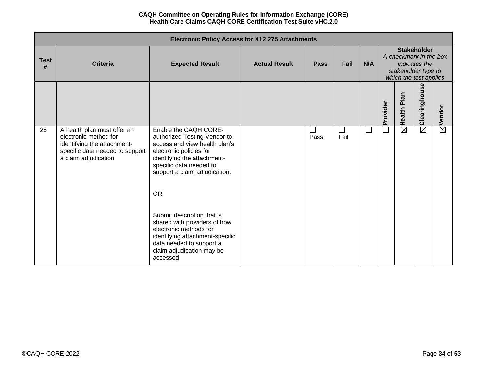|                  | <b>Electronic Policy Access for X12 275 Attachments</b>                                                                                        |                                                                                                                                                                                                                                                                                                                                                                                  |                      |             |                |     |          |                                                                                                                |                   |                    |  |  |
|------------------|------------------------------------------------------------------------------------------------------------------------------------------------|----------------------------------------------------------------------------------------------------------------------------------------------------------------------------------------------------------------------------------------------------------------------------------------------------------------------------------------------------------------------------------|----------------------|-------------|----------------|-----|----------|----------------------------------------------------------------------------------------------------------------|-------------------|--------------------|--|--|
| <b>Test</b><br># | <b>Criteria</b>                                                                                                                                | <b>Expected Result</b>                                                                                                                                                                                                                                                                                                                                                           | <b>Actual Result</b> | <b>Pass</b> | Fail           | N/A |          | <b>Stakeholder</b><br>A checkmark in the box<br>indicates the<br>stakeholder type to<br>which the test applies |                   |                    |  |  |
|                  |                                                                                                                                                |                                                                                                                                                                                                                                                                                                                                                                                  |                      |             |                |     | Provider | Plan<br>Health I                                                                                               | Clearinghouse     | $\boxtimes$ Vendor |  |  |
| 26               | A health plan must offer an<br>electronic method for<br>identifying the attachment-<br>specific data needed to support<br>a claim adjudication | Enable the CAQH CORE-<br>authorized Testing Vendor to<br>access and view health plan's<br>electronic policies for<br>identifying the attachment-<br>specific data needed to<br>support a claim adjudication.<br><b>OR</b><br>Submit description that is<br>shared with providers of how<br>electronic methods for<br>identifying attachment-specific<br>data needed to support a |                      | Pass        | $\Box$<br>Fail |     |          | $\overline{\boxtimes}$                                                                                         | $\bar{\boxtimes}$ |                    |  |  |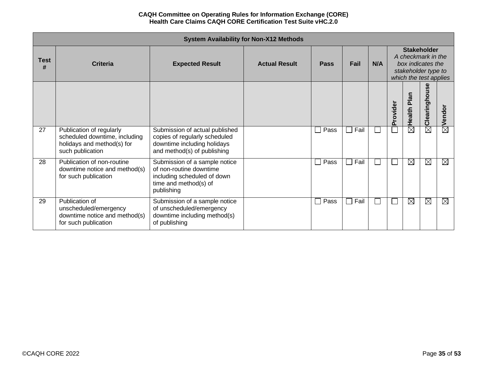|                  | <b>System Availability for Non-X12 Methods</b><br><b>Stakeholder</b>                                        |                                                                                                                                |                      |             |      |     |          |                                                                                          |               |             |  |
|------------------|-------------------------------------------------------------------------------------------------------------|--------------------------------------------------------------------------------------------------------------------------------|----------------------|-------------|------|-----|----------|------------------------------------------------------------------------------------------|---------------|-------------|--|
| <b>Test</b><br># | <b>Criteria</b>                                                                                             | <b>Expected Result</b>                                                                                                         | <b>Actual Result</b> | <b>Pass</b> | Fail | N/A |          | A checkmark in the<br>box indicates the<br>stakeholder type to<br>which the test applies |               |             |  |
|                  |                                                                                                             |                                                                                                                                |                      |             |      |     | Provider | Plan<br>Health                                                                           | Clearinghouse | Vendor      |  |
| 27               | Publication of regularly<br>scheduled downtime, including<br>holidays and method(s) for<br>such publication | Submission of actual published<br>copies of regularly scheduled<br>downtime including holidays<br>and method(s) of publishing  |                      | Pass        | Fail |     |          | $\boxtimes$                                                                              | $\boxtimes$   | $\boxtimes$ |  |
| 28               | Publication of non-routine<br>downtime notice and method(s)<br>for such publication                         | Submission of a sample notice<br>of non-routine downtime<br>including scheduled of down<br>time and method(s) of<br>publishing |                      | Pass        | Fail |     |          | $\boxtimes$                                                                              | ⊠             | $\boxtimes$ |  |
| 29               | Publication of<br>unscheduled/emergency<br>downtime notice and method(s)<br>for such publication            | Submission of a sample notice<br>of unscheduled/emergency<br>downtime including method(s)<br>of publishing                     |                      | Pass        | Fail |     |          | $\boxtimes$                                                                              | ⊠             | $\boxtimes$ |  |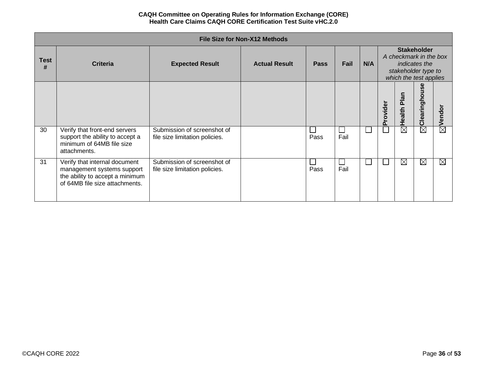|                  | <b>File Size for Non-X12 Methods</b><br><b>Stakeholder</b>                                                                       |                                                               |                      |             |                |     |          |                                                                                                 |                        |                        |  |  |  |
|------------------|----------------------------------------------------------------------------------------------------------------------------------|---------------------------------------------------------------|----------------------|-------------|----------------|-----|----------|-------------------------------------------------------------------------------------------------|------------------------|------------------------|--|--|--|
| <b>Test</b><br># | <b>Criteria</b>                                                                                                                  | <b>Expected Result</b>                                        | <b>Actual Result</b> | <b>Pass</b> | Fail           | N/A |          | A checkmark in the box<br><i>indicates the</i><br>stakeholder type to<br>which the test applies |                        |                        |  |  |  |
|                  |                                                                                                                                  |                                                               |                      |             |                |     | Provider | Health Plan                                                                                     | မ္တ<br>Clearingho      | Vendor                 |  |  |  |
| 30               | Verify that front-end servers<br>support the ability to accept a<br>minimum of 64MB file size<br>attachments.                    | Submission of screenshot of<br>file size limitation policies. |                      | Pass        | $\sim$<br>Fail |     |          | $\boxtimes$                                                                                     | $\overline{\boxtimes}$ | $\overline{\boxtimes}$ |  |  |  |
| 31               | Verify that internal document<br>management systems support<br>the ability to accept a minimum<br>of 64MB file size attachments. | Submission of screenshot of<br>file size limitation policies. |                      | Pass        | a s<br>Fail    |     |          | $\boxtimes$                                                                                     | $\boxtimes$            | ⊠                      |  |  |  |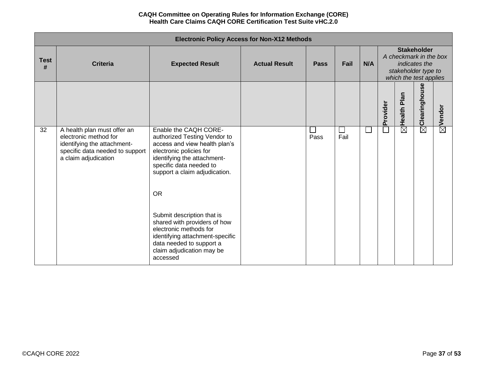|                  | <b>Electronic Policy Access for Non-X12 Methods</b>                                                                                            |                                                                                                                                                                                                                           |                      |      |                |     |          |                                                                                                                |                   |                    |  |
|------------------|------------------------------------------------------------------------------------------------------------------------------------------------|---------------------------------------------------------------------------------------------------------------------------------------------------------------------------------------------------------------------------|----------------------|------|----------------|-----|----------|----------------------------------------------------------------------------------------------------------------|-------------------|--------------------|--|
| <b>Test</b><br># | <b>Criteria</b>                                                                                                                                | <b>Expected Result</b>                                                                                                                                                                                                    | <b>Actual Result</b> | Pass | Fail           | N/A |          | <b>Stakeholder</b><br>A checkmark in the box<br>indicates the<br>stakeholder type to<br>which the test applies |                   |                    |  |
|                  |                                                                                                                                                |                                                                                                                                                                                                                           |                      |      |                |     | Provider | Plan<br>Health                                                                                                 | Clearinghouse     | $\boxtimes$ Vendor |  |
| 32               | A health plan must offer an<br>electronic method for<br>identifying the attachment-<br>specific data needed to support<br>a claim adjudication | Enable the CAQH CORE-<br>authorized Testing Vendor to<br>access and view health plan's<br>electronic policies for<br>identifying the attachment-<br>specific data needed to<br>support a claim adjudication.<br><b>OR</b> |                      | Pass | $\sim$<br>Fail |     |          | $\overline{\boxtimes}$                                                                                         | $\bar{\boxtimes}$ |                    |  |
|                  |                                                                                                                                                | Submit description that is<br>shared with providers of how<br>electronic methods for<br>identifying attachment-specific<br>data needed to support a<br>claim adjudication may be<br>accessed                              |                      |      |                |     |          |                                                                                                                |                   |                    |  |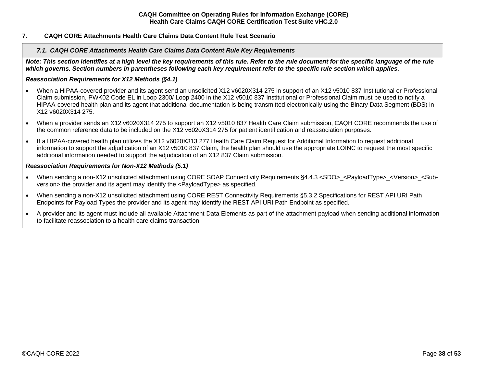## <span id="page-37-1"></span><span id="page-37-0"></span>**7. CAQH CORE Attachments Health Care Claims Data Content Rule Test Scenario**

### *7.1. CAQH CORE Attachments Health Care Claims Data Content Rule Key Requirements*

*Note: This section identifies at a high level the key requirements of this rule. Refer to the rule document for the specific language of the rule which governs. Section numbers in parentheses following each key requirement refer to the specific rule section which applies.*

### *Reassociation Requirements for X12 Methods (§4.1)*

- When a HIPAA-covered provider and its agent send an unsolicited X12 v6020X314 275 in support of an X12 v5010 837 Institutional or Professional Claim submission, PWK02 Code EL in Loop 2300/ Loop 2400 in the X12 v5010 837 Institutional or Professional Claim must be used to notify a HIPAA-covered health plan and its agent that additional documentation is being transmitted electronically using the Binary Data Segment (BDS) in X12 v6020X314 275.
- When a provider sends an X12 v6020X314 275 to support an X12 v5010 837 Health Care Claim submission, CAQH CORE recommends the use of the common reference data to be included on the X12 v6020X314 275 for patient identification and reassociation purposes.
- If a HIPAA-covered health plan utilizes the X12 v6020X313 277 Health Care Claim Request for Additional Information to request additional information to support the adjudication of an X12 v5010 837 Claim, the health plan should use the appropriate LOINC to request the most specific additional information needed to support the adjudication of an X12 837 Claim submission.

### *Reassociation Requirements for Non-X12 Methods (5.1)*

- When sending a non-X12 unsolicited attachment using CORE SOAP Connectivity Requirements §4.4.3 <SDO>\_<PayloadType>\_<Version>\_<Subversion> the provider and its agent may identify the <PayloadType> as specified.
- When sending a non-X12 unsolicited attachment using CORE REST Connectivity Requirements §5.3.2 Specifications for REST API URI Path Endpoints for Payload Types the provider and its agent may identify the REST API URI Path Endpoint as specified.
- A provider and its agent must include all available Attachment Data Elements as part of the attachment payload when sending additional information to facilitate reassociation to a health care claims transaction.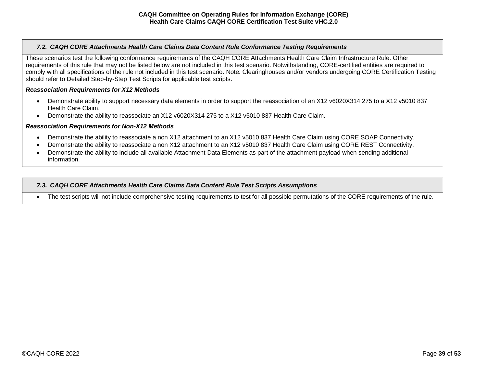# <span id="page-38-0"></span>*7.2. CAQH CORE Attachments Health Care Claims Data Content Rule Conformance Testing Requirements*

These scenarios test the following conformance requirements of the CAQH CORE Attachments Health Care Claim Infrastructure Rule. Other requirements of this rule that may not be listed below are not included in this test scenario. Notwithstanding, CORE-certified entities are required to comply with all specifications of the rule not included in this test scenario. Note: Clearinghouses and/or vendors undergoing CORE Certification Testing should refer to Detailed Step-by-Step Test Scripts for applicable test scripts.

## *Reassociation Requirements for X12 Methods*

- Demonstrate ability to support necessary data elements in order to support the reassociation of an X12 v6020X314 275 to a X12 v5010 837 Health Care Claim.
- Demonstrate the ability to reassociate an X12 v6020X314 275 to a X12 v5010 837 Health Care Claim.

#### *Reassociation Requirements for Non-X12 Methods*

- Demonstrate the ability to reassociate a non X12 attachment to an X12 v5010 837 Health Care Claim using CORE SOAP Connectivity.
- Demonstrate the ability to reassociate a non X12 attachment to an X12 v5010 837 Health Care Claim using CORE REST Connectivity.
- Demonstrate the ability to include all available Attachment Data Elements as part of the attachment payload when sending additional information.

## <span id="page-38-1"></span>*7.3. CAQH CORE Attachments Health Care Claims Data Content Rule Test Scripts Assumptions*

• The test scripts will not include comprehensive testing requirements to test for all possible permutations of the CORE requirements of the rule.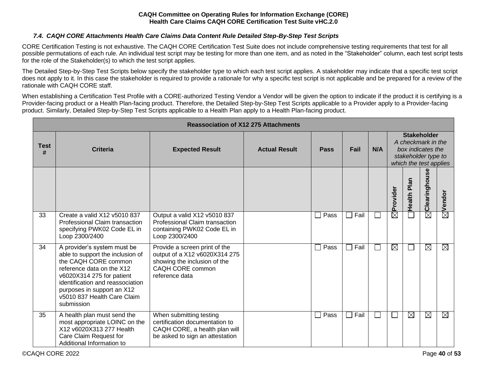# *7.4. CAQH CORE Attachments Health Care Claims Data Content Rule Detailed Step-By-Step Test Scripts*

<span id="page-39-0"></span>CORE Certification Testing is not exhaustive. The CAQH CORE Certification Test Suite does not include comprehensive testing requirements that test for all possible permutations of each rule. An individual test script may be testing for more than one item, and as noted in the "Stakeholder" column, each test script tests for the role of the Stakeholder(s) to which the test script applies.

The Detailed Step-by-Step Test Scripts below specify the stakeholder type to which each test script applies. A stakeholder may indicate that a specific test script does not apply to it. In this case the stakeholder is required to provide a rationale for why a specific test script is not applicable and be prepared for a review of the rationale with CAQH CORE staff.

When establishing a Certification Test Profile with a CORE-authorized Testing Vendor a Vendor will be given the option to indicate if the product it is certifying is a Provider-facing product or a Health Plan-facing product. Therefore, the Detailed Step-by-Step Test Scripts applicable to a Provider apply to a Provider-facing product. Similarly, Detailed Step-by-Step Test Scripts applicable to a Health Plan apply to a Health Plan-facing product.

|                  |                                                                                                                                                                                                                                                                  |                                                                                                                                      | <b>Reassociation of X12 275 Attachments</b> |             |             |        |                        |                                                                                                                |                   |                        |  |
|------------------|------------------------------------------------------------------------------------------------------------------------------------------------------------------------------------------------------------------------------------------------------------------|--------------------------------------------------------------------------------------------------------------------------------------|---------------------------------------------|-------------|-------------|--------|------------------------|----------------------------------------------------------------------------------------------------------------|-------------------|------------------------|--|
| <b>Test</b><br># | <b>Criteria</b>                                                                                                                                                                                                                                                  | <b>Expected Result</b>                                                                                                               | <b>Actual Result</b>                        | <b>Pass</b> | Fail        | N/A    |                        | <b>Stakeholder</b><br>A checkmark in the<br>box indicates the<br>stakeholder type to<br>which the test applies |                   |                        |  |
|                  |                                                                                                                                                                                                                                                                  |                                                                                                                                      |                                             |             |             |        | Provider               | Plan<br>Health                                                                                                 | Clearinghouse     | Vendor                 |  |
| 33               | Create a valid X12 v5010 837<br>Professional Claim transaction<br>specifying PWK02 Code EL in<br>Loop 2300/2400                                                                                                                                                  | Output a valid X12 v5010 837<br>Professional Claim transaction<br>containing PWK02 Code EL in<br>Loop 2300/2400                      |                                             | Pass        | Fail        |        | $\overline{\boxtimes}$ |                                                                                                                | $\bar{\boxtimes}$ | $\overline{\boxtimes}$ |  |
| 34               | A provider's system must be<br>able to support the inclusion of<br>the CAQH CORE common<br>reference data on the X12<br>v6020X314 275 for patient<br>identification and reassociation<br>purposes in support an X12<br>v5010 837 Health Care Claim<br>submission | Provide a screen print of the<br>output of a X12 v6020X314 275<br>showing the inclusion of the<br>CAQH CORE common<br>reference data |                                             | Pass        | Fail        |        | $\boxtimes$            |                                                                                                                | $\boxtimes$       | $\boxtimes$            |  |
| 35               | A health plan must send the<br>most appropriate LOINC on the<br>X12 v6020X313 277 Health<br>Care Claim Request for<br>Additional Information to                                                                                                                  | When submitting testing<br>certification documentation to<br>CAQH CORE, a health plan will<br>be asked to sign an attestation        |                                             | Pass        | $\Box$ Fail | $\sim$ |                        | $\boxtimes$                                                                                                    | ⊠                 | $\boxtimes$            |  |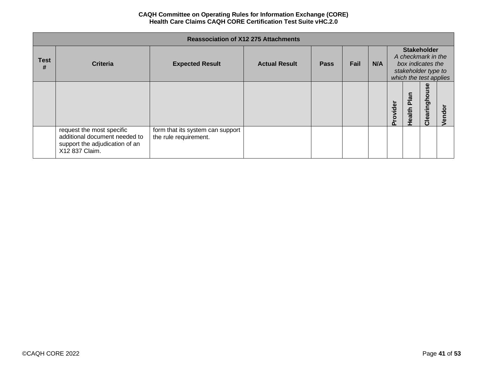|                  |                                                                                                                |                                                           | <b>Reassociation of X12 275 Attachments</b> |             |      |     |          |                |                                                                                                                |   |
|------------------|----------------------------------------------------------------------------------------------------------------|-----------------------------------------------------------|---------------------------------------------|-------------|------|-----|----------|----------------|----------------------------------------------------------------------------------------------------------------|---|
| <b>Test</b><br># | <b>Criteria</b>                                                                                                | <b>Expected Result</b>                                    | <b>Actual Result</b>                        | <b>Pass</b> | Fail | N/A |          |                | <b>Stakeholder</b><br>A checkmark in the<br>box indicates the<br>stakeholder type to<br>which the test applies |   |
|                  |                                                                                                                |                                                           |                                             |             |      |     | Provider | Plan<br>Health | Clearinghouse                                                                                                  | 용 |
|                  | request the most specific<br>additional document needed to<br>support the adjudication of an<br>X12 837 Claim. | form that its system can support<br>the rule requirement. |                                             |             |      |     |          |                |                                                                                                                |   |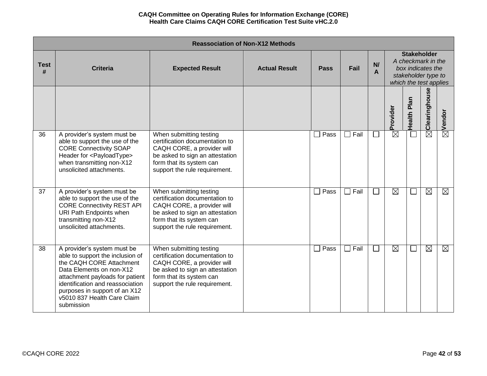|                  | <b>Reassociation of Non-X12 Methods</b>                                                                                                                                                                                                                                      |                                                                                                                                                                                         |                      |                        |      |                          |                                                                                                                |                  |                           |                    |  |  |  |
|------------------|------------------------------------------------------------------------------------------------------------------------------------------------------------------------------------------------------------------------------------------------------------------------------|-----------------------------------------------------------------------------------------------------------------------------------------------------------------------------------------|----------------------|------------------------|------|--------------------------|----------------------------------------------------------------------------------------------------------------|------------------|---------------------------|--------------------|--|--|--|
| <b>Test</b><br># | <b>Criteria</b>                                                                                                                                                                                                                                                              | <b>Expected Result</b>                                                                                                                                                                  | <b>Actual Result</b> | <b>Pass</b>            | Fail | N/<br>A                  | <b>Stakeholder</b><br>A checkmark in the<br>box indicates the<br>stakeholder type to<br>which the test applies |                  |                           |                    |  |  |  |
|                  |                                                                                                                                                                                                                                                                              |                                                                                                                                                                                         |                      |                        |      |                          | Provider                                                                                                       | Plan<br>Health I | $\boxtimes$ Clearinghouse | $\boxtimes$ Vendor |  |  |  |
| 36               | A provider's system must be<br>able to support the use of the<br><b>CORE Connectivity SOAP</b><br>Header for <payloadtype><br/>when transmitting non-X12<br/>unsolicited attachments.</payloadtype>                                                                          | When submitting testing<br>certification documentation to<br>CAQH CORE, a provider will<br>be asked to sign an attestation<br>form that its system can<br>support the rule requirement. |                      | Pass                   | Fail | $\sim$                   | $\boxtimes$                                                                                                    |                  |                           |                    |  |  |  |
| 37               | A provider's system must be<br>able to support the use of the<br><b>CORE Connectivity REST API</b><br>URI Path Endpoints when<br>transmitting non-X12<br>unsolicited attachments.                                                                                            | When submitting testing<br>certification documentation to<br>CAQH CORE, a provider will<br>be asked to sign an attestation<br>form that its system can<br>support the rule requirement. |                      | Pass<br>$\blacksquare$ | Fail | $\overline{\phantom{a}}$ | $\boxtimes$                                                                                                    |                  | $\boxtimes$               | ⊠                  |  |  |  |
| 38               | A provider's system must be<br>able to support the inclusion of<br>the CAQH CORE Attachment<br>Data Elements on non-X12<br>attachment payloads for patient<br>identification and reassociation<br>purposes in support of an X12<br>v5010 837 Health Care Claim<br>submission | When submitting testing<br>certification documentation to<br>CAQH CORE, a provider will<br>be asked to sign an attestation<br>form that its system can<br>support the rule requirement. |                      | Pass<br>$\Box$         | Fail | $\overline{\phantom{a}}$ | $\boxtimes$                                                                                                    | $\mathcal{L}$    | $\boxtimes$               | $\boxtimes$        |  |  |  |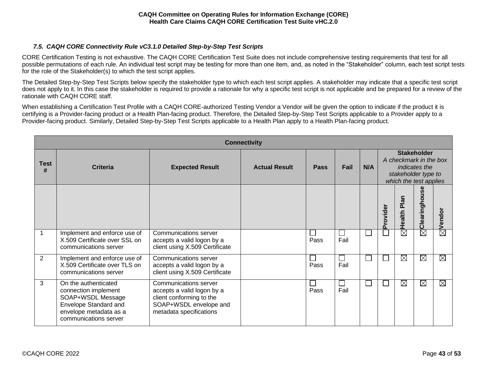# <span id="page-42-0"></span>*7.5. CAQH CORE Connectivity Rule vC3.1.0 Detailed Step-by-Step Test Scripts*

CORE Certification Testing is not exhaustive. The CAQH CORE Certification Test Suite does not include comprehensive testing requirements that test for all possible permutations of each rule. An individual test script may be testing for more than one item, and, as noted in the "Stakeholder" column, each test script tests for the role of the Stakeholder(s) to which the test script applies.

The Detailed Step-by-Step Test Scripts below specify the stakeholder type to which each test script applies. A stakeholder may indicate that a specific test script does not apply to it. In this case the stakeholder is required to provide a rationale for why a specific test script is not applicable and be prepared for a review of the rationale with CAQH CORE staff.

When establishing a Certification Test Profile with a CAQH CORE-authorized Testing Vendor a Vendor will be given the option to indicate if the product it is certifying is a Provider-facing product or a Health Plan-facing product. Therefore, the Detailed Step-by-Step Test Scripts applicable to a Provider apply to a Provider-facing product. Similarly, Detailed Step-by-Step Test Scripts applicable to a Health Plan apply to a Health Plan-facing product.

|                  | <b>Connectivity</b>                                                                                                                           |                                                                                                                                      |                      |             |      |     |                                                                                                                       |                       |               |                    |  |  |  |
|------------------|-----------------------------------------------------------------------------------------------------------------------------------------------|--------------------------------------------------------------------------------------------------------------------------------------|----------------------|-------------|------|-----|-----------------------------------------------------------------------------------------------------------------------|-----------------------|---------------|--------------------|--|--|--|
| <b>Test</b><br># | Criteria                                                                                                                                      | <b>Expected Result</b>                                                                                                               | <b>Actual Result</b> | <b>Pass</b> | Fail | N/A | <b>Stakeholder</b><br>A checkmark in the box<br><i>indicates the</i><br>stakeholder type to<br>which the test applies |                       |               |                    |  |  |  |
|                  |                                                                                                                                               |                                                                                                                                      |                      |             |      |     | Provider                                                                                                              | <b>Plan</b><br>Health | Clearinghouse | $\boxtimes$ Vendor |  |  |  |
| 1                | Implement and enforce use of<br>X.509 Certificate over SSL on<br>communications server                                                        | Communications server<br>accepts a valid logon by a<br>client using X.509 Certificate                                                |                      | Pass        | Fail | l.  |                                                                                                                       | $\boxtimes$           | $\boxtimes$   |                    |  |  |  |
| 2                | Implement and enforce use of<br>X.509 Certificate over TLS on<br>communications server                                                        | Communications server<br>accepts a valid logon by a<br>client using X.509 Certificate                                                |                      | Pass        | Fail | l.  |                                                                                                                       | $\boxtimes$           | ⊠             | $\boxtimes$        |  |  |  |
| 3                | On the authenticated<br>connection implement<br>SOAP+WSDL Message<br>Envelope Standard and<br>envelope metadata as a<br>communications server | Communications server<br>accepts a valid logon by a<br>client conforming to the<br>SOAP+WSDL envelope and<br>metadata specifications |                      | Pass        | Fail | L   |                                                                                                                       | $\boxtimes$           | $\boxtimes$   | $\boxtimes$        |  |  |  |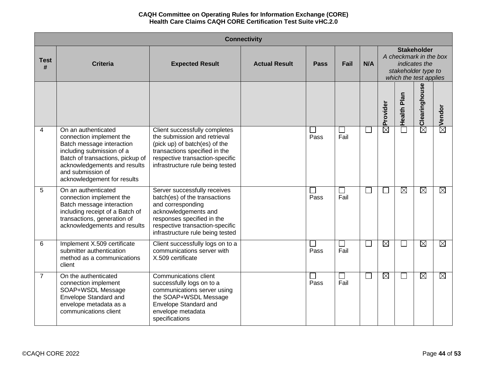|                  | <b>Connectivity</b>                                                                                                                                                                                                               |                                                                                                                                                                                                                 |                      |      |      |        |                   |                                                                                                                |                           |                    |  |  |
|------------------|-----------------------------------------------------------------------------------------------------------------------------------------------------------------------------------------------------------------------------------|-----------------------------------------------------------------------------------------------------------------------------------------------------------------------------------------------------------------|----------------------|------|------|--------|-------------------|----------------------------------------------------------------------------------------------------------------|---------------------------|--------------------|--|--|
| <b>Test</b><br># | <b>Criteria</b>                                                                                                                                                                                                                   | <b>Expected Result</b>                                                                                                                                                                                          | <b>Actual Result</b> | Pass | Fail | N/A    |                   | <b>Stakeholder</b><br>A checkmark in the box<br>indicates the<br>stakeholder type to<br>which the test applies |                           |                    |  |  |
|                  |                                                                                                                                                                                                                                   |                                                                                                                                                                                                                 |                      |      |      |        | Provider          | Health Plan                                                                                                    | $\boxtimes$ Clearinghouse | $\boxtimes$ Vendor |  |  |
| $\overline{4}$   | On an authenticated<br>connection implement the<br>Batch message interaction<br>including submission of a<br>Batch of transactions, pickup of<br>acknowledgements and results<br>and submission of<br>acknowledgement for results | Client successfully completes<br>the submission and retrieval<br>(pick up) of batch(es) of the<br>transactions specified in the<br>respective transaction-specific<br>infrastructure rule being tested          |                      | Pass | Fail |        | $\bar{\boxtimes}$ | $\blacksquare$                                                                                                 |                           |                    |  |  |
| 5                | On an authenticated<br>connection implement the<br>Batch message interaction<br>including receipt of a Batch of<br>transactions, generation of<br>acknowledgements and results                                                    | Server successfully receives<br>batch(es) of the transactions<br>and corresponding<br>acknowledgements and<br>responses specified in the<br>respective transaction-specific<br>infrastructure rule being tested |                      | Pass | Fail |        |                   | $\boxtimes$                                                                                                    | $\boxtimes$               | $\boxtimes$        |  |  |
| $6\phantom{1}6$  | Implement X.509 certificate<br>submitter authentication<br>method as a communications<br>client                                                                                                                                   | Client successfully logs on to a<br>communications server with<br>X.509 certificate                                                                                                                             |                      | Pass | Fail |        | $\boxtimes$       | ×.                                                                                                             | $\boxtimes$               | $\boxtimes$        |  |  |
| $\overline{7}$   | On the authenticated<br>connection implement<br>SOAP+WSDL Message<br>Envelope Standard and<br>envelope metadata as a<br>communications client                                                                                     | <b>Communications client</b><br>successfully logs on to a<br>communications server using<br>the SOAP+WSDL Message<br>Envelope Standard and<br>envelope metadata<br>specifications                               |                      | Pass | Fail | $\Box$ | $\boxtimes$       | $\Box$                                                                                                         | $\boxtimes$               | $\boxtimes$        |  |  |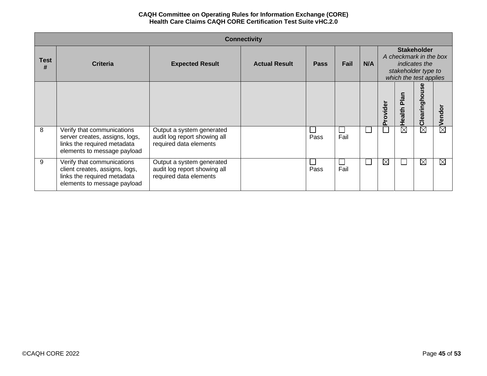|                  | <b>Connectivity</b>                                                                                                        |                                                                                     |                      |             |      |     |                                                                                                                       |                  |                         |                        |  |  |
|------------------|----------------------------------------------------------------------------------------------------------------------------|-------------------------------------------------------------------------------------|----------------------|-------------|------|-----|-----------------------------------------------------------------------------------------------------------------------|------------------|-------------------------|------------------------|--|--|
| <b>Test</b><br># | <b>Criteria</b>                                                                                                            | <b>Expected Result</b>                                                              | <b>Actual Result</b> | <b>Pass</b> | Fail | N/A | <b>Stakeholder</b><br>A checkmark in the box<br><i>indicates the</i><br>stakeholder type to<br>which the test applies |                  |                         |                        |  |  |
|                  |                                                                                                                            |                                                                                     |                      |             |      |     | rovider<br>$\Omega$                                                                                                   | Plan<br>Health I | စ္တ<br>ringhou<br>Cleal | Vendor                 |  |  |
| 8                | Verify that communications<br>server creates, assigns, logs,<br>links the required metadata<br>elements to message payload | Output a system generated<br>audit log report showing all<br>required data elements |                      | Pass        | Fail |     |                                                                                                                       | $\boxtimes$      | $\boxtimes$             | $\overline{\boxtimes}$ |  |  |
| 9                | Verify that communications<br>client creates, assigns, logs,<br>links the required metadata<br>elements to message payload | Output a system generated<br>audit log report showing all<br>required data elements |                      | Pass        | Fail |     | ⊠                                                                                                                     |                  | $\boxtimes$             | $\boxtimes$            |  |  |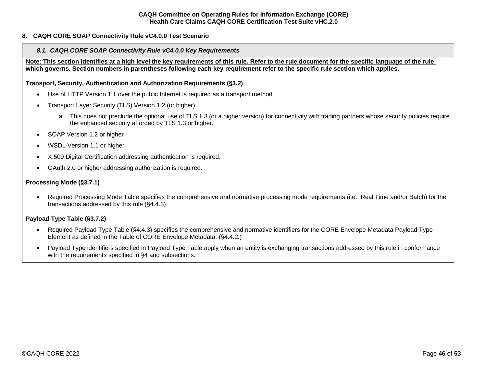## <span id="page-45-1"></span><span id="page-45-0"></span>**8. CAQH CORE SOAP Connectivity Rule vC4.0.0 Test Scenario**

#### *8.1. CAQH CORE SOAP Connectivity Rule vC4.0.0 Key Requirements*

**Note: This section identifies at a high level the key requirements of this rule. Refer to the rule document for the specific language of the rule which governs. Section numbers in parentheses following each key requirement refer to the specific rule section which applies.**

**Transport, Security, Authentication and Authorization Requirements (§3.2)**

- Use of HTTP Version 1.1 over the public Internet is required as a transport method.
- Transport Layer Security (TLS) Version 1.2 (or higher).
	- a. This does not preclude the optional use of TLS 1.3 (or a higher version) for connectivity with trading partners whose security policies require the enhanced security afforded by TLS 1.3 or higher.
- SOAP Version 1.2 or higher
- WSDL Version 1.1 or higher
- X.509 Digital Certification addressing authentication is required.
- OAuth 2.0 or higher addressing authorization is required.

### **Processing Mode (§3.7.1)**

• Required Processing Mode Table specifies the comprehensive and normative processing mode requirements (i.e., Real Time and/or Batch) for the transactions addressed by this rule (§4.4.3)

## **Payload Type Table (§3.7.2)**

- Required Payload Type Table (§4.4.3) specifies the comprehensive and normative identifiers for the CORE Envelope Metadata Payload Type Element as defined in the Table of CORE Envelope Metadata. (§4.4.2.)
- Payload Type identifiers specified in Payload Type Table apply when an entity is exchanging transactions addressed by this rule in conformance with the requirements specified in §4 and subsections.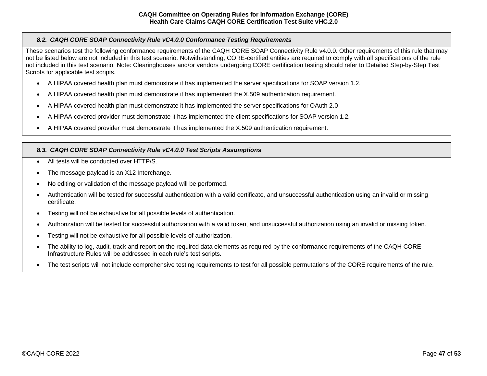# <span id="page-46-0"></span>*8.2. CAQH CORE SOAP Connectivity Rule vC4.0.0 Conformance Testing Requirements*

These scenarios test the following conformance requirements of the CAQH CORE SOAP Connectivity Rule v4.0.0. Other requirements of this rule that may not be listed below are not included in this test scenario. Notwithstanding, CORE-certified entities are required to comply with all specifications of the rule not included in this test scenario. Note: Clearinghouses and/or vendors undergoing CORE certification testing should refer to Detailed Step-by-Step Test Scripts for applicable test scripts.

- A HIPAA covered health plan must demonstrate it has implemented the server specifications for SOAP version 1.2.
- A HIPAA covered health plan must demonstrate it has implemented the X.509 authentication requirement.
- A HIPAA covered health plan must demonstrate it has implemented the server specifications for OAuth 2.0
- A HIPAA covered provider must demonstrate it has implemented the client specifications for SOAP version 1.2.
- A HIPAA covered provider must demonstrate it has implemented the X.509 authentication requirement.

# <span id="page-46-1"></span>*8.3. CAQH CORE SOAP Connectivity Rule vC4.0.0 Test Scripts Assumptions*

- All tests will be conducted over HTTP/S
- The message payload is an X12 Interchange.
- No editing or validation of the message payload will be performed.
- Authentication will be tested for successful authentication with a valid certificate, and unsuccessful authentication using an invalid or missing certificate.
- Testing will not be exhaustive for all possible levels of authentication.
- Authorization will be tested for successful authorization with a valid token, and unsuccessful authorization using an invalid or missing token.
- Testing will not be exhaustive for all possible levels of authorization.
- The ability to log, audit, track and report on the required data elements as required by the conformance requirements of the CAQH CORE Infrastructure Rules will be addressed in each rule's test scripts.
- The test scripts will not include comprehensive testing requirements to test for all possible permutations of the CORE requirements of the rule.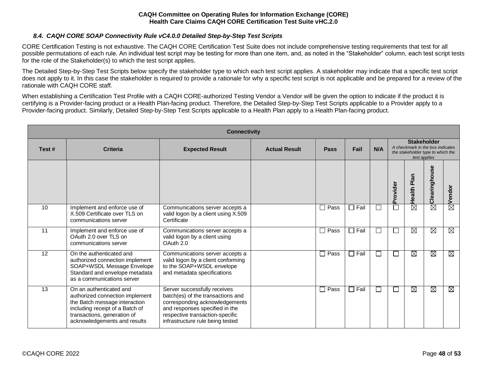## *8.4. CAQH CORE SOAP Connectivity Rule vC4.0.0 Detailed Step-by-Step Test Scripts*

<span id="page-47-0"></span>CORE Certification Testing is not exhaustive. The CAQH CORE Certification Test Suite does not include comprehensive testing requirements that test for all possible permutations of each rule. An individual test script may be testing for more than one item, and, as noted in the "Stakeholder" column, each test script tests for the role of the Stakeholder(s) to which the test script applies.

The Detailed Step-by-Step Test Scripts below specify the stakeholder type to which each test script applies. A stakeholder may indicate that a specific test script does not apply to it. In this case the stakeholder is required to provide a rationale for why a specific test script is not applicable and be prepared for a review of the rationale with CAQH CORE staff.

When establishing a Certification Test Profile with a CAQH CORE-authorized Testing Vendor a Vendor will be given the option to indicate if the product it is certifying is a Provider-facing product or a Health Plan-facing product. Therefore, the Detailed Step-by-Step Test Scripts applicable to a Provider apply to a Provider-facing product. Similarly, Detailed Step-by-Step Test Scripts applicable to a Health Plan apply to a Health Plan-facing product.

|       | <b>Connectivity</b>                                                                                                                                                                           |                                                                                                                                                                                                              |                      |             |             |     |                                  |                                   |               |                        |  |  |
|-------|-----------------------------------------------------------------------------------------------------------------------------------------------------------------------------------------------|--------------------------------------------------------------------------------------------------------------------------------------------------------------------------------------------------------------|----------------------|-------------|-------------|-----|----------------------------------|-----------------------------------|---------------|------------------------|--|--|
| Test# | <b>Criteria</b>                                                                                                                                                                               | <b>Expected Result</b>                                                                                                                                                                                       | <b>Actual Result</b> | Pass        | Fail        | N/A | A checkmark in the box indicates | the stakeholder type to which the |               |                        |  |  |
|       |                                                                                                                                                                                               |                                                                                                                                                                                                              |                      |             |             |     | Provider                         | Health Plan                       | Clearinghouse | Vendor                 |  |  |
| 10    | Implement and enforce use of<br>X.509 Certificate over TLS on<br>communications server                                                                                                        | Communications server accepts a<br>valid logon by a client using X.509<br>Certificate                                                                                                                        |                      | $\Box$ Pass | Fail        | ⊏   | Г                                | $\overline{\boxtimes}$            | $\boxtimes$   | $\overline{\boxtimes}$ |  |  |
| 11    | Implement and enforce use of<br>OAuth 2.0 over TLS on<br>communications server                                                                                                                | Communications server accepts a<br>valid logon by a client using<br>OAuth 2.0                                                                                                                                |                      | $\Box$ Pass | $\Box$ Fail | Г   | Г                                | Ø                                 | $\boxtimes$   | ⊠                      |  |  |
| 12    | On the authenticated and<br>authorized connection implement<br>SOAP+WSDL Message Envelope<br>Standard and envelope metadata<br>as a communications server                                     | Communications server accepts a<br>valid logon by a client conforming<br>to the SOAP+WSDL envelope<br>and metadata specifications                                                                            |                      | $\Box$ Pass | $\Box$ Fail | П   | $\Box$                           | M                                 | M             | ⊠                      |  |  |
| 13    | On an authenticated and<br>authorized connection implement<br>the Batch message interaction<br>including receipt of a Batch of<br>transactions, generation of<br>acknowledgements and results | Server successfully receives<br>batch(es) of the transactions and<br>corresponding acknowledgements<br>and responses specified in the<br>respective transaction-specific<br>infrastructure rule being tested |                      | $\Box$ Pass | $\Box$ Fail | ⊏   | ⊏                                | M                                 | $\boxtimes$   | ⊠                      |  |  |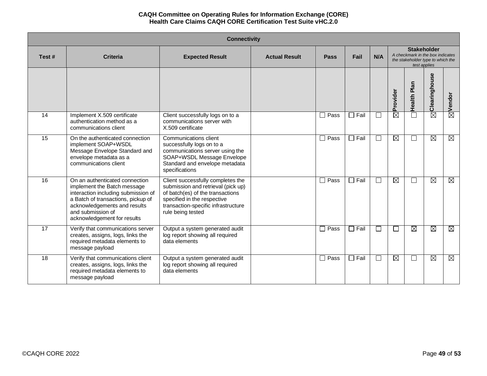|                 | <b>Connectivity</b>                                                                                                                                                                                                            |                                                                                                                                                                                                        |                      |             |                |        |                                                                                                             |             |               |             |  |  |
|-----------------|--------------------------------------------------------------------------------------------------------------------------------------------------------------------------------------------------------------------------------|--------------------------------------------------------------------------------------------------------------------------------------------------------------------------------------------------------|----------------------|-------------|----------------|--------|-------------------------------------------------------------------------------------------------------------|-------------|---------------|-------------|--|--|
| Test#           | <b>Criteria</b>                                                                                                                                                                                                                | <b>Expected Result</b>                                                                                                                                                                                 | <b>Actual Result</b> | Pass        | Fail           | N/A    | <b>Stakeholder</b><br>A checkmark in the box indicates<br>the stakeholder type to which the<br>test applies |             |               |             |  |  |
|                 |                                                                                                                                                                                                                                |                                                                                                                                                                                                        |                      |             |                |        | Provider                                                                                                    | Health Plan | Clearinghouse | Vendor      |  |  |
| 14              | Implement X.509 certificate<br>authentication method as a<br>communications client                                                                                                                                             | Client successfully logs on to a<br>communications server with<br>X.509 certificate                                                                                                                    |                      | $\Box$ Pass | $\Box$ Fail    |        | $\overline{\boxtimes}$                                                                                      |             | $\boxtimes$   | ⊠           |  |  |
| $\overline{15}$ | On the authenticated connection<br>implement SOAP+WSDL<br>Message Envelope Standard and<br>envelope metadata as a<br>communications client                                                                                     | Communications client<br>successfully logs on to a<br>communications server using the<br>SOAP+WSDL Message Envelope<br>Standard and envelope metadata<br>specifications                                |                      | $\Box$ Pass | $\Box$ Fail    |        | M                                                                                                           |             | ⊠             | $\boxtimes$ |  |  |
| 16              | On an authenticated connection<br>implement the Batch message<br>interaction including submission of<br>a Batch of transactions, pickup of<br>acknowledgements and results<br>and submission of<br>acknowledgement for results | Client successfully completes the<br>submission and retrieval (pick up)<br>of batch(es) of the transactions<br>specified in the respective<br>transaction-specific infrastructure<br>rule being tested |                      | $\Box$ Pass | $\square$ Fail |        | $\boxtimes$                                                                                                 |             | $\boxtimes$   | ⊠           |  |  |
| 17              | Verify that communications server<br>creates, assigns, logs, links the<br>required metadata elements to<br>message payload                                                                                                     | Output a system generated audit<br>log report showing all required<br>data elements                                                                                                                    |                      | $\Box$ Pass | $\Box$ Fail    | $\Box$ | $\Box$                                                                                                      | M           | Ø             | $\boxtimes$ |  |  |
| 18              | Verify that communications client<br>creates, assigns, logs, links the<br>required metadata elements to<br>message payload                                                                                                     | Output a system generated audit<br>log report showing all required<br>data elements                                                                                                                    |                      | $\Box$ Pass | $\Box$ Fail    | $\Box$ | $\boxtimes$                                                                                                 |             | Ø             | ⊠           |  |  |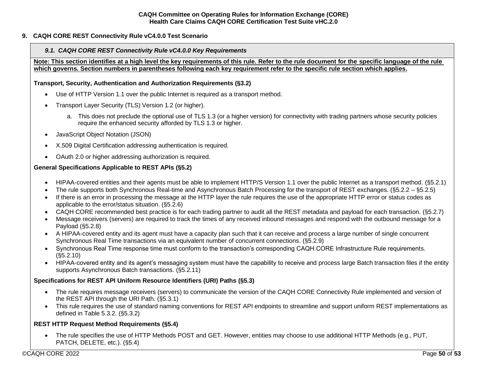# <span id="page-49-0"></span>**9. CAQH CORE REST Connectivity Rule vC4.0.0 Test Scenario**

## <span id="page-49-1"></span>*9.1. CAQH CORE REST Connectivity Rule vC4.0.0 Key Requirements*

**Note: This section identifies at a high level the key requirements of this rule. Refer to the rule document for the specific language of the rule which governs. Section numbers in parentheses following each key requirement refer to the specific rule section which applies.**

### **Transport, Security, Authentication and Authorization Requirements (§3.2)**

- Use of HTTP Version 1.1 over the public Internet is required as a transport method.
- Transport Layer Security (TLS) Version 1.2 (or higher).
	- a. This does not preclude the optional use of TLS 1.3 (or a higher version) for connectivity with trading partners whose security policies require the enhanced security afforded by TLS 1.3 or higher.
- JavaScript Object Notation (JSON)
- X.509 Digital Certification addressing authentication is required.
- OAuth 2.0 or higher addressing authorization is required.

# **General Specifications Applicable to REST APIs (§5.2)**

- HIPAA-covered entities and their agents must be able to implement HTTP/S Version 1.1 over the public Internet as a transport method. (§5.2.1)
- The rule supports both Synchronous Real-time and Asynchronous Batch Processing for the transport of REST exchanges. (§5.2.2 §5.2.5)
- If there is an error in processing the message at the HTTP layer the rule requires the use of the appropriate HTTP error or status codes as applicable to the error/status situation. (§5.2.6)
- CAQH CORE recommended best practice is for each trading partner to audit all the REST metadata and payload for each transaction. (§5.2.7)
- Message receivers (servers) are required to track the times of any received inbound messages and respond with the outbound message for a Payload (§5.2.8)
- A HIPAA-covered entity and its agent must have a capacity plan such that it can receive and process a large number of single concurrent Synchronous Real Time transactions via an equivalent number of concurrent connections. (§5.2.9)
- Synchronous Real Time response time must conform to the transaction's corresponding CAQH CORE Infrastructure Rule requirements. (§5.2.10)
- HIPAA-covered entity and its agent's messaging system must have the capability to receive and process large Batch transaction files if the entity supports Asynchronous Batch transactions. (§5.2.11)

# **Specifications for REST API Uniform Resource Identifiers (URI) Paths (§5.3)**

- The rule requires message receivers (servers) to communicate the version of the CAQH CORE Connectivity Rule implemented and version of the REST API through the URI Path. (§5.3.1)
- This rule requires the use of standard naming conventions for REST API endpoints to streamline and support uniform REST implementations as defined in Table 5.3.2. (§5.3.2)

# **REST HTTP Request Method Requirements (§5.4)**

• The rule specifies the use of HTTP Methods POST and GET. However, entities may choose to use additional HTTP Methods (e.g., PUT, PATCH, DELETE, etc.). (§5.4)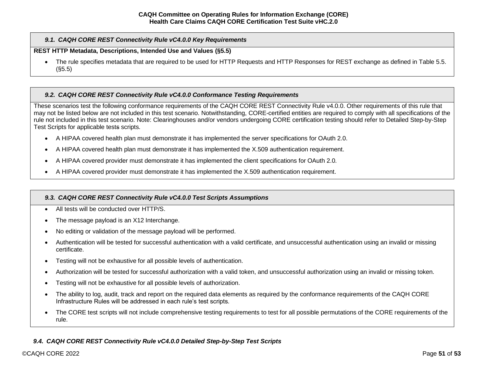## *9.1. CAQH CORE REST Connectivity Rule vC4.0.0 Key Requirements*

### **REST HTTP Metadata, Descriptions, Intended Use and Values (§5.5)**

• The rule specifies metadata that are required to be used for HTTP Requests and HTTP Responses for REST exchange as defined in Table 5.5. (§5.5)

# <span id="page-50-0"></span>*9.2. CAQH CORE REST Connectivity Rule vC4.0.0 Conformance Testing Requirements*

These scenarios test the following conformance requirements of the CAQH CORE REST Connectivity Rule v4.0.0. Other requirements of this rule that may not be listed below are not included in this test scenario. Notwithstanding, CORE-certified entities are required to comply with all specifications of the rule not included in this test scenario. Note: Clearinghouses and/or vendors undergoing CORE certification testing should refer to Detailed Step-by-Step Test Scripts for applicable tests scripts.

- A HIPAA covered health plan must demonstrate it has implemented the server specifications for OAuth 2.0.
- A HIPAA covered health plan must demonstrate it has implemented the X.509 authentication requirement.
- A HIPAA covered provider must demonstrate it has implemented the client specifications for OAuth 2.0.
- A HIPAA covered provider must demonstrate it has implemented the X.509 authentication requirement.

## <span id="page-50-1"></span>*9.3. CAQH CORE REST Connectivity Rule vC4.0.0 Test Scripts Assumptions*

- All tests will be conducted over HTTP/S.
- The message payload is an X12 Interchange.
- No editing or validation of the message payload will be performed.
- Authentication will be tested for successful authentication with a valid certificate, and unsuccessful authentication using an invalid or missing certificate.
- Testing will not be exhaustive for all possible levels of authentication.
- Authorization will be tested for successful authorization with a valid token, and unsuccessful authorization using an invalid or missing token.
- Testing will not be exhaustive for all possible levels of authorization.
- The ability to log, audit, track and report on the required data elements as required by the conformance requirements of the CAQH CORE Infrastructure Rules will be addressed in each rule's test scripts.
- The CORE test scripts will not include comprehensive testing requirements to test for all possible permutations of the CORE requirements of the rule.

# <span id="page-50-2"></span>*9.4. CAQH CORE REST Connectivity Rule vC4.0.0 Detailed Step-by-Step Test Scripts*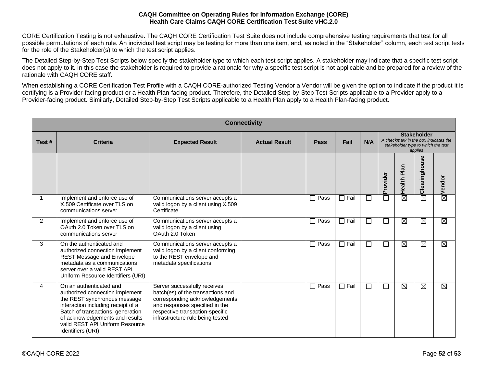CORE Certification Testing is not exhaustive. The CAQH CORE Certification Test Suite does not include comprehensive testing requirements that test for all possible permutations of each rule. An individual test script may be testing for more than one item, and, as noted in the "Stakeholder" column, each test script tests for the role of the Stakeholder(s) to which the test script applies.

The Detailed Step-by-Step Test Scripts below specify the stakeholder type to which each test script applies. A stakeholder may indicate that a specific test script does not apply to it. In this case the stakeholder is required to provide a rationale for why a specific test script is not applicable and be prepared for a review of the rationale with CAQH CORE staff.

When establishing a CORE Certification Test Profile with a CAQH CORE-authorized Testing Vendor a Vendor will be given the option to indicate if the product it is certifying is a Provider-facing product or a Health Plan-facing product. Therefore, the Detailed Step-by-Step Test Scripts applicable to a Provider apply to a Provider-facing product. Similarly, Detailed Step-by-Step Test Scripts applicable to a Health Plan apply to a Health Plan-facing product.

|             | <b>Connectivity</b>                                                                                                                                                                                                                                              |                                                                                                                                                                                                              |                      |                  |               |        |               |                                                                                                             |                        |                        |  |  |  |
|-------------|------------------------------------------------------------------------------------------------------------------------------------------------------------------------------------------------------------------------------------------------------------------|--------------------------------------------------------------------------------------------------------------------------------------------------------------------------------------------------------------|----------------------|------------------|---------------|--------|---------------|-------------------------------------------------------------------------------------------------------------|------------------------|------------------------|--|--|--|
| Test#       | <b>Criteria</b>                                                                                                                                                                                                                                                  | <b>Expected Result</b>                                                                                                                                                                                       | <b>Actual Result</b> | Pass             | Fail          | N/A    |               | <b>Stakeholder</b><br>A checkmark in the box indicates the<br>stakeholder type to which the test<br>applies |                        |                        |  |  |  |
|             |                                                                                                                                                                                                                                                                  |                                                                                                                                                                                                              |                      |                  |               |        | Provider      | <b>G</b><br>ᄒ<br>Health I                                                                                   | Clearinghouse          | $\boxtimes$ Vendor     |  |  |  |
| $\mathbf 1$ | Implement and enforce use of<br>X.509 Certificate over TLS on<br>communications server                                                                                                                                                                           | Communications server accepts a<br>valid logon by a client using X.509<br>Certificate                                                                                                                        |                      | $\sqsupset$ Pass | $\sqcap$ Fail | $\Box$ |               | $\overline{\boxtimes}$                                                                                      | $\overline{\boxtimes}$ |                        |  |  |  |
| 2           | Implement and enforce use of<br>OAuth 2.0 Token over TLS on<br>communications server                                                                                                                                                                             | Communications server accepts a<br>valid logon by a client using<br>OAuth 2.0 Token                                                                                                                          |                      | $\Box$ Pass      | $\Box$ Fail   | $\Box$ | $\mathcal{L}$ | M                                                                                                           | M                      | $\overline{\boxtimes}$ |  |  |  |
| 3           | On the authenticated and<br>authorized connection implement<br><b>REST Message and Envelope</b><br>metadata as a communications<br>server over a valid REST API<br>Uniform Resource Identifiers (URI)                                                            | Communications server accepts a<br>valid logon by a client conforming<br>to the REST envelope and<br>metadata specifications                                                                                 |                      | $\Box$ Pass      | $\Box$ Fail   | $\Box$ |               | ⊠                                                                                                           | $\boxtimes$            | $\boxtimes$            |  |  |  |
| 4           | On an authenticated and<br>authorized connection implement<br>the REST synchronous message<br>interaction including receipt of a<br>Batch of transactions, generation<br>of acknowledgements and results<br>valid REST API Uniform Resource<br>Identifiers (URI) | Server successfully receives<br>batch(es) of the transactions and<br>corresponding acknowledgements<br>and responses specified in the<br>respective transaction-specific<br>infrastructure rule being tested |                      | $\Box$ Pass      | $\Box$ Fail   | $\Box$ |               | Ø                                                                                                           | $\boxtimes$            | $\boxtimes$            |  |  |  |